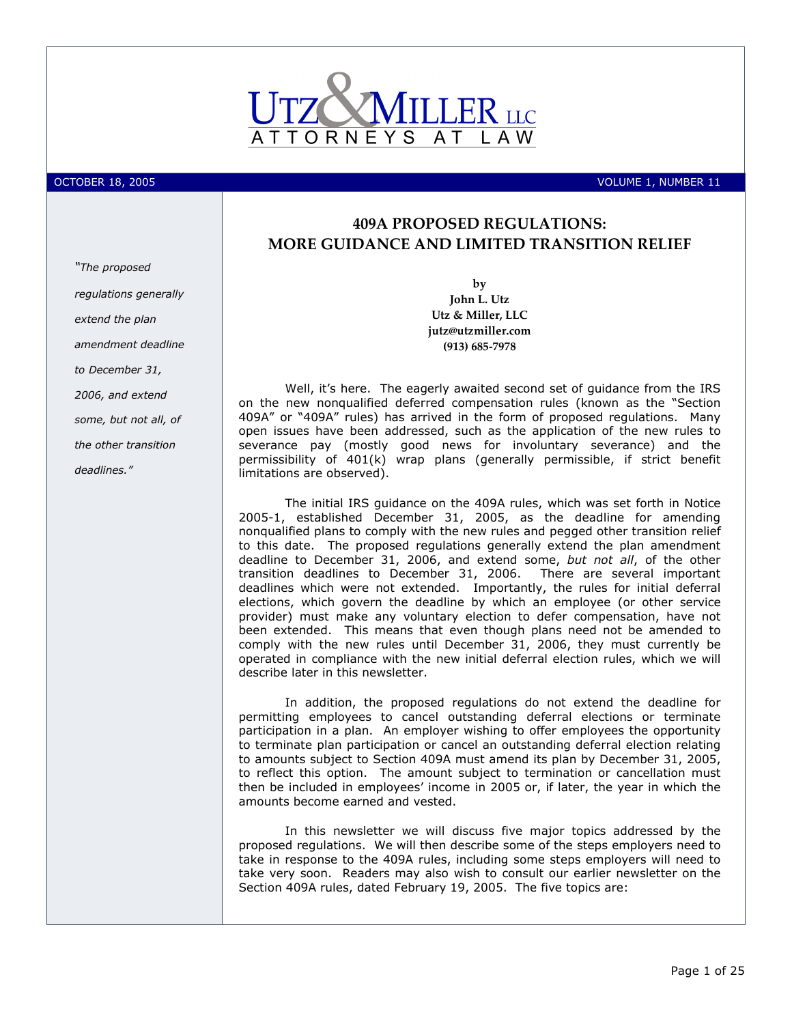

OCTOBER 18, 2005 NOLUME 1, NUMBER 11

# 409A PROPOSED REGULATIONS: MORE GUIDANCE AND LIMITED TRANSITION RELIEF

by John L. Utz Utz & Miller, LLC jutz@utzmiller.com (913) 685-7978

Well, it's here. The eagerly awaited second set of guidance from the IRS on the new nonqualified deferred compensation rules (known as the "Section 409A" or "409A" rules) has arrived in the form of proposed regulations. Many open issues have been addressed, such as the application of the new rules to severance pay (mostly good news for involuntary severance) and the permissibility of 401(k) wrap plans (generally permissible, if strict benefit limitations are observed).

The initial IRS guidance on the 409A rules, which was set forth in Notice 2005-1, established December 31, 2005, as the deadline for amending nonqualified plans to comply with the new rules and pegged other transition relief to this date. The proposed regulations generally extend the plan amendment deadline to December 31, 2006, and extend some, but not all, of the other transition deadlines to December 31, 2006. There are several important deadlines which were not extended. Importantly, the rules for initial deferral elections, which govern the deadline by which an employee (or other service provider) must make any voluntary election to defer compensation, have not been extended. This means that even though plans need not be amended to comply with the new rules until December 31, 2006, they must currently be operated in compliance with the new initial deferral election rules, which we will describe later in this newsletter.

In addition, the proposed regulations do not extend the deadline for permitting employees to cancel outstanding deferral elections or terminate participation in a plan. An employer wishing to offer employees the opportunity to terminate plan participation or cancel an outstanding deferral election relating to amounts subject to Section 409A must amend its plan by December 31, 2005, to reflect this option. The amount subject to termination or cancellation must then be included in employees' income in 2005 or, if later, the year in which the amounts become earned and vested.

In this newsletter we will discuss five major topics addressed by the proposed regulations. We will then describe some of the steps employers need to take in response to the 409A rules, including some steps employers will need to take very soon. Readers may also wish to consult our earlier newsletter on the Section 409A rules, dated February 19, 2005. The five topics are:

"The proposed regulations generally extend the plan amendment deadline to December 31, 2006, and extend some, but not all, of the other transition deadlines."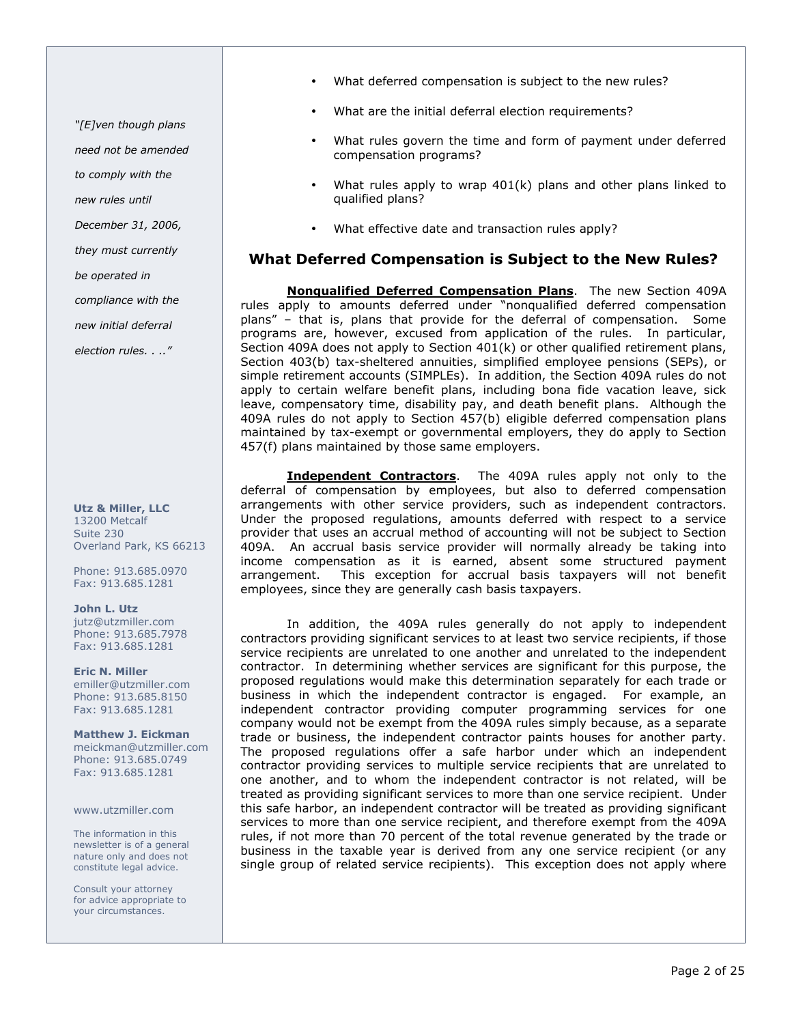"[E]ven though plans

need not be amended

to comply with the

new rules until

December 31, 2006,

they must currently

be operated in

compliance with the

new initial deferral

election rules. . .."

Utz & Miller, LLC 13200 Metcalf Suite 230 Overland Park, KS 66213

Phone: 913.685.0970 Fax: 913.685.1281

John L. Utz jutz@utzmiller.com Phone: 913.685.7978 Fax: 913.685.1281

Eric N. Miller emiller@utzmiller.com Phone: 913.685.8150 Fax: 913.685.1281

Matthew J. Eickman meickman@utzmiller.com Phone: 913.685.0749 Fax: 913.685.1281

www.utzmiller.com

The information in this newsletter is of a general nature only and does not constitute legal advice.

Consult your attorney for advice appropriate to your circumstances.

- What deferred compensation is subject to the new rules?
- What are the initial deferral election requirements?
- What rules govern the time and form of payment under deferred compensation programs?
- What rules apply to wrap  $401(k)$  plans and other plans linked to qualified plans?
- What effective date and transaction rules apply?

# What Deferred Compensation is Subject to the New Rules?

Nonqualified Deferred Compensation Plans. The new Section 409A rules apply to amounts deferred under "nonqualified deferred compensation plans" – that is, plans that provide for the deferral of compensation. Some programs are, however, excused from application of the rules. In particular, Section 409A does not apply to Section  $401(k)$  or other qualified retirement plans, Section 403(b) tax-sheltered annuities, simplified employee pensions (SEPs), or simple retirement accounts (SIMPLEs). In addition, the Section 409A rules do not apply to certain welfare benefit plans, including bona fide vacation leave, sick leave, compensatory time, disability pay, and death benefit plans. Although the 409A rules do not apply to Section 457(b) eligible deferred compensation plans maintained by tax-exempt or governmental employers, they do apply to Section 457(f) plans maintained by those same employers.

**Independent Contractors**. The 409A rules apply not only to the deferral of compensation by employees, but also to deferred compensation arrangements with other service providers, such as independent contractors. Under the proposed regulations, amounts deferred with respect to a service provider that uses an accrual method of accounting will not be subject to Section 409A. An accrual basis service provider will normally already be taking into income compensation as it is earned, absent some structured payment arrangement. This exception for accrual basis taxpayers will not benefit employees, since they are generally cash basis taxpayers.

In addition, the 409A rules generally do not apply to independent contractors providing significant services to at least two service recipients, if those service recipients are unrelated to one another and unrelated to the independent contractor. In determining whether services are significant for this purpose, the proposed regulations would make this determination separately for each trade or business in which the independent contractor is engaged. For example, an independent contractor providing computer programming services for one company would not be exempt from the 409A rules simply because, as a separate trade or business, the independent contractor paints houses for another party. The proposed regulations offer a safe harbor under which an independent contractor providing services to multiple service recipients that are unrelated to one another, and to whom the independent contractor is not related, will be treated as providing significant services to more than one service recipient. Under this safe harbor, an independent contractor will be treated as providing significant services to more than one service recipient, and therefore exempt from the 409A rules, if not more than 70 percent of the total revenue generated by the trade or business in the taxable year is derived from any one service recipient (or any single group of related service recipients). This exception does not apply where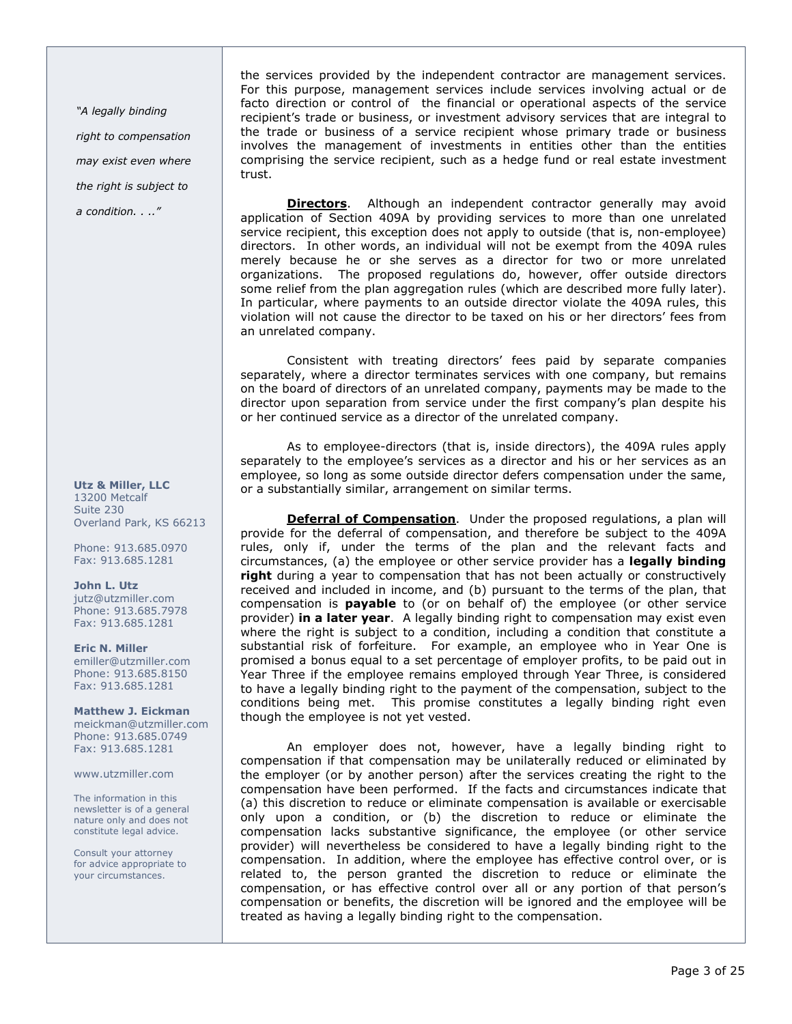"A legally binding right to compensation may exist even where the right is subject to a condition. . .."

## Utz & Miller, LLC 13200 Metcalf Suite 230 Overland Park, KS 66213

Phone: 913.685.0970 Fax: 913.685.1281

#### John L. Utz jutz@utzmiller.com Phone: 913.685.7978

Fax: 913.685.1281 Eric N. Miller

emiller@utzmiller.com Phone: 913.685.8150 Fax: 913.685.1281

Matthew J. Eickman meickman@utzmiller.com Phone: 913.685.0749 Fax: 913.685.1281

www.utzmiller.com

The information in this newsletter is of a general nature only and does not constitute legal advice.

Consult your attorney for advice appropriate to your circumstances.

the services provided by the independent contractor are management services. For this purpose, management services include services involving actual or de facto direction or control of the financial or operational aspects of the service recipient's trade or business, or investment advisory services that are integral to the trade or business of a service recipient whose primary trade or business involves the management of investments in entities other than the entities comprising the service recipient, such as a hedge fund or real estate investment trust.

**Directors.** Although an independent contractor generally may avoid application of Section 409A by providing services to more than one unrelated service recipient, this exception does not apply to outside (that is, non-employee) directors. In other words, an individual will not be exempt from the 409A rules merely because he or she serves as a director for two or more unrelated organizations. The proposed regulations do, however, offer outside directors some relief from the plan aggregation rules (which are described more fully later). In particular, where payments to an outside director violate the 409A rules, this violation will not cause the director to be taxed on his or her directors' fees from an unrelated company.

Consistent with treating directors' fees paid by separate companies separately, where a director terminates services with one company, but remains on the board of directors of an unrelated company, payments may be made to the director upon separation from service under the first company's plan despite his or her continued service as a director of the unrelated company.

As to employee-directors (that is, inside directors), the 409A rules apply separately to the employee's services as a director and his or her services as an employee, so long as some outside director defers compensation under the same, or a substantially similar, arrangement on similar terms.

Deferral of Compensation. Under the proposed regulations, a plan will provide for the deferral of compensation, and therefore be subject to the 409A rules, only if, under the terms of the plan and the relevant facts and circumstances, (a) the employee or other service provider has a legally binding right during a year to compensation that has not been actually or constructively received and included in income, and (b) pursuant to the terms of the plan, that compensation is **payable** to (or on behalf of) the employee (or other service provider) in a later year. A legally binding right to compensation may exist even where the right is subject to a condition, including a condition that constitute a substantial risk of forfeiture. For example, an employee who in Year One is promised a bonus equal to a set percentage of employer profits, to be paid out in Year Three if the employee remains employed through Year Three, is considered to have a legally binding right to the payment of the compensation, subject to the conditions being met. This promise constitutes a legally binding right even though the employee is not yet vested.

An employer does not, however, have a legally binding right to compensation if that compensation may be unilaterally reduced or eliminated by the employer (or by another person) after the services creating the right to the compensation have been performed. If the facts and circumstances indicate that (a) this discretion to reduce or eliminate compensation is available or exercisable only upon a condition, or (b) the discretion to reduce or eliminate the compensation lacks substantive significance, the employee (or other service provider) will nevertheless be considered to have a legally binding right to the compensation. In addition, where the employee has effective control over, or is related to, the person granted the discretion to reduce or eliminate the compensation, or has effective control over all or any portion of that person's compensation or benefits, the discretion will be ignored and the employee will be treated as having a legally binding right to the compensation.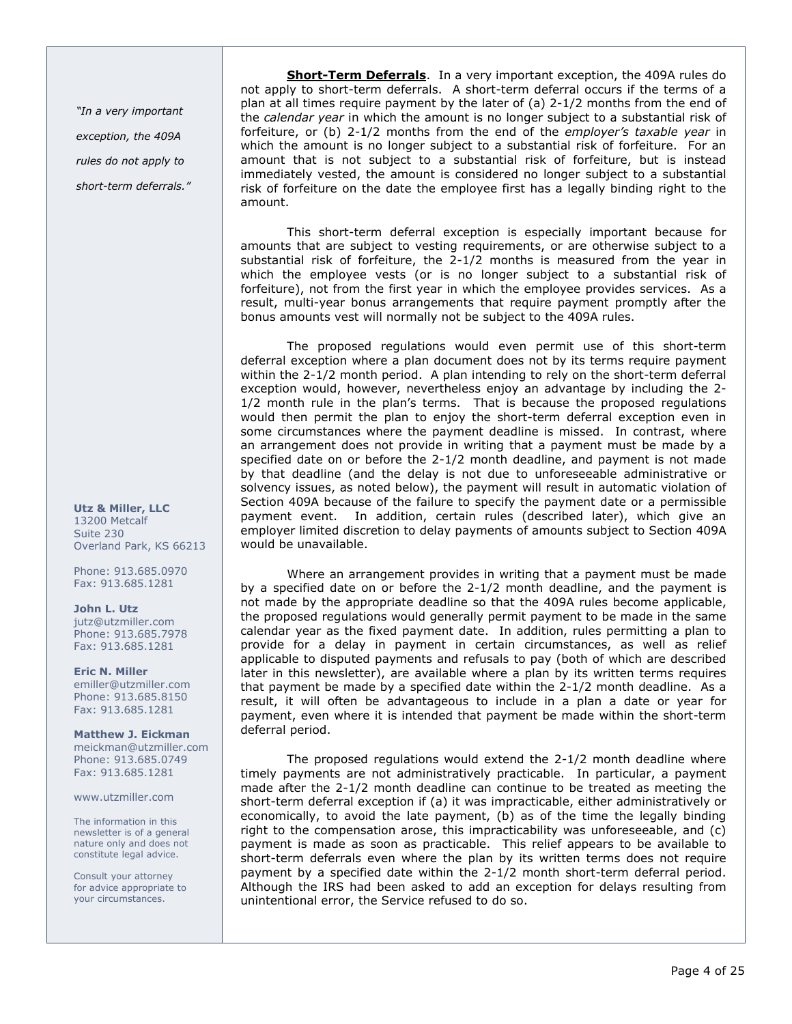"In a very important exception, the 409A rules do not apply to short-term deferrals."

Utz & Miller, LLC 13200 Metcalf Suite 230 Overland Park, KS 66213

Phone: 913.685.0970 Fax: 913.685.1281

John L. Utz jutz@utzmiller.com Phone: 913.685.7978 Fax: 913.685.1281

Eric N. Miller emiller@utzmiller.com Phone: 913.685.8150 Fax: 913.685.1281

Matthew J. Eickman meickman@utzmiller.com Phone: 913.685.0749 Fax: 913.685.1281

www.utzmiller.com

The information in this newsletter is of a general nature only and does not constitute legal advice.

Consult your attorney for advice appropriate to your circumstances.

Short-Term Deferrals. In a very important exception, the 409A rules do not apply to short-term deferrals. A short-term deferral occurs if the terms of a plan at all times require payment by the later of (a) 2-1/2 months from the end of the *calendar year* in which the amount is no longer subject to a substantial risk of forfeiture, or (b) 2-1/2 months from the end of the employer's taxable year in which the amount is no longer subject to a substantial risk of forfeiture. For an amount that is not subject to a substantial risk of forfeiture, but is instead immediately vested, the amount is considered no longer subject to a substantial risk of forfeiture on the date the employee first has a legally binding right to the amount.

This short-term deferral exception is especially important because for amounts that are subject to vesting requirements, or are otherwise subject to a substantial risk of forfeiture, the 2-1/2 months is measured from the year in which the employee vests (or is no longer subject to a substantial risk of forfeiture), not from the first year in which the employee provides services. As a result, multi-year bonus arrangements that require payment promptly after the bonus amounts vest will normally not be subject to the 409A rules.

The proposed regulations would even permit use of this short-term deferral exception where a plan document does not by its terms require payment within the 2-1/2 month period. A plan intending to rely on the short-term deferral exception would, however, nevertheless enjoy an advantage by including the 2- 1/2 month rule in the plan's terms. That is because the proposed regulations would then permit the plan to enjoy the short-term deferral exception even in some circumstances where the payment deadline is missed. In contrast, where an arrangement does not provide in writing that a payment must be made by a specified date on or before the 2-1/2 month deadline, and payment is not made by that deadline (and the delay is not due to unforeseeable administrative or solvency issues, as noted below), the payment will result in automatic violation of Section 409A because of the failure to specify the payment date or a permissible payment event. In addition, certain rules (described later), which give an employer limited discretion to delay payments of amounts subject to Section 409A would be unavailable.

Where an arrangement provides in writing that a payment must be made by a specified date on or before the 2-1/2 month deadline, and the payment is not made by the appropriate deadline so that the 409A rules become applicable, the proposed regulations would generally permit payment to be made in the same calendar year as the fixed payment date. In addition, rules permitting a plan to provide for a delay in payment in certain circumstances, as well as relief applicable to disputed payments and refusals to pay (both of which are described later in this newsletter), are available where a plan by its written terms requires that payment be made by a specified date within the 2-1/2 month deadline. As a result, it will often be advantageous to include in a plan a date or year for payment, even where it is intended that payment be made within the short-term deferral period.

The proposed regulations would extend the 2-1/2 month deadline where timely payments are not administratively practicable. In particular, a payment made after the 2-1/2 month deadline can continue to be treated as meeting the short-term deferral exception if (a) it was impracticable, either administratively or economically, to avoid the late payment, (b) as of the time the legally binding right to the compensation arose, this impracticability was unforeseeable, and (c) payment is made as soon as practicable. This relief appears to be available to short-term deferrals even where the plan by its written terms does not require payment by a specified date within the 2-1/2 month short-term deferral period. Although the IRS had been asked to add an exception for delays resulting from unintentional error, the Service refused to do so.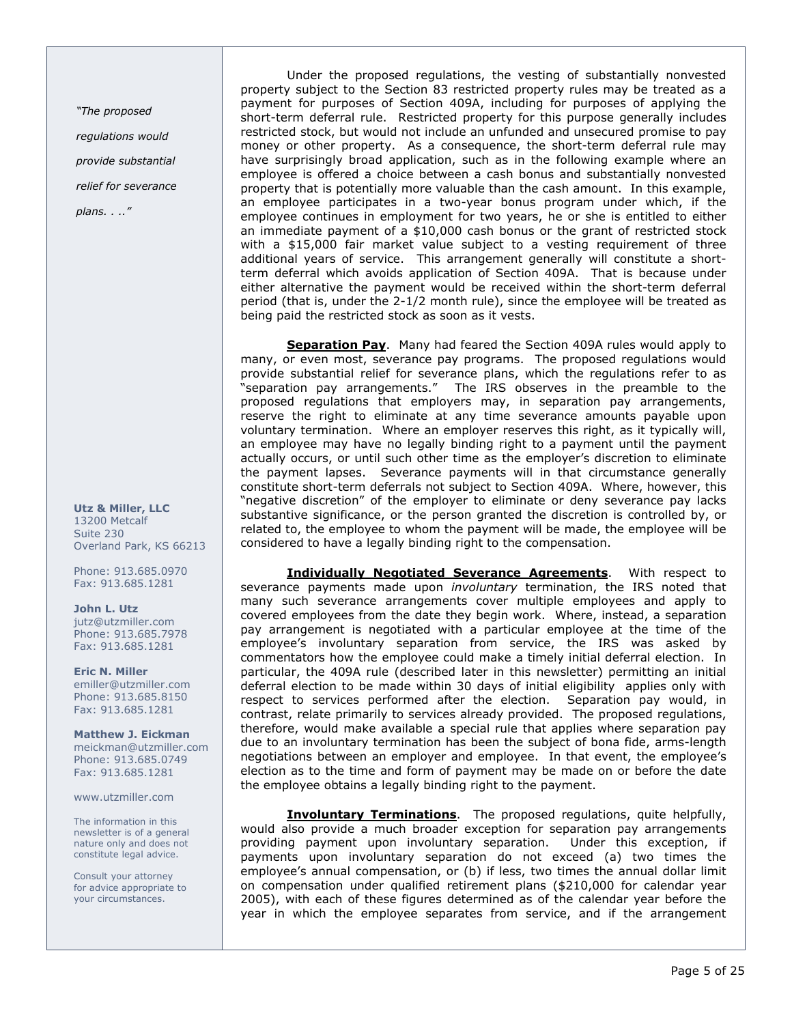"The proposed regulations would provide substantial relief for severance plans. . .."

Utz & Miller, LLC 13200 Metcalf Suite 230 Overland Park, KS 66213

Phone: 913.685.0970 Fax: 913.685.1281

John L. Utz jutz@utzmiller.com Phone: 913.685.7978 Fax: 913.685.1281

Eric N. Miller emiller@utzmiller.com Phone: 913.685.8150 Fax: 913.685.1281

Matthew J. Eickman meickman@utzmiller.com Phone: 913.685.0749 Fax: 913.685.1281

www.utzmiller.com

The information in this newsletter is of a general nature only and does not constitute legal advice.

Consult your attorney for advice appropriate to your circumstances.

Under the proposed regulations, the vesting of substantially nonvested property subject to the Section 83 restricted property rules may be treated as a payment for purposes of Section 409A, including for purposes of applying the short-term deferral rule. Restricted property for this purpose generally includes restricted stock, but would not include an unfunded and unsecured promise to pay money or other property. As a consequence, the short-term deferral rule may have surprisingly broad application, such as in the following example where an employee is offered a choice between a cash bonus and substantially nonvested property that is potentially more valuable than the cash amount. In this example, an employee participates in a two-year bonus program under which, if the employee continues in employment for two years, he or she is entitled to either an immediate payment of a \$10,000 cash bonus or the grant of restricted stock with a \$15,000 fair market value subject to a vesting requirement of three additional years of service. This arrangement generally will constitute a shortterm deferral which avoids application of Section 409A. That is because under either alternative the payment would be received within the short-term deferral period (that is, under the 2-1/2 month rule), since the employee will be treated as being paid the restricted stock as soon as it vests.

Separation Pay. Many had feared the Section 409A rules would apply to many, or even most, severance pay programs. The proposed regulations would provide substantial relief for severance plans, which the regulations refer to as "separation pay arrangements." The IRS observes in the preamble to the proposed regulations that employers may, in separation pay arrangements, reserve the right to eliminate at any time severance amounts payable upon voluntary termination. Where an employer reserves this right, as it typically will, an employee may have no legally binding right to a payment until the payment actually occurs, or until such other time as the employer's discretion to eliminate the payment lapses. Severance payments will in that circumstance generally constitute short-term deferrals not subject to Section 409A. Where, however, this "negative discretion" of the employer to eliminate or deny severance pay lacks substantive significance, or the person granted the discretion is controlled by, or related to, the employee to whom the payment will be made, the employee will be considered to have a legally binding right to the compensation.

**Individually Negotiated Severance Agreements.** With respect to severance payments made upon *involuntary* termination, the IRS noted that many such severance arrangements cover multiple employees and apply to covered employees from the date they begin work. Where, instead, a separation pay arrangement is negotiated with a particular employee at the time of the employee's involuntary separation from service, the IRS was asked by commentators how the employee could make a timely initial deferral election. In particular, the 409A rule (described later in this newsletter) permitting an initial deferral election to be made within 30 days of initial eligibility applies only with respect to services performed after the election. Separation pay would, in contrast, relate primarily to services already provided. The proposed regulations, therefore, would make available a special rule that applies where separation pay due to an involuntary termination has been the subject of bona fide, arms-length negotiations between an employer and employee. In that event, the employee's election as to the time and form of payment may be made on or before the date the employee obtains a legally binding right to the payment.

Involuntary Terminations. The proposed regulations, quite helpfully, would also provide a much broader exception for separation pay arrangements providing payment upon involuntary separation. Under this exception, if payments upon involuntary separation do not exceed (a) two times the employee's annual compensation, or (b) if less, two times the annual dollar limit on compensation under qualified retirement plans (\$210,000 for calendar year 2005), with each of these figures determined as of the calendar year before the year in which the employee separates from service, and if the arrangement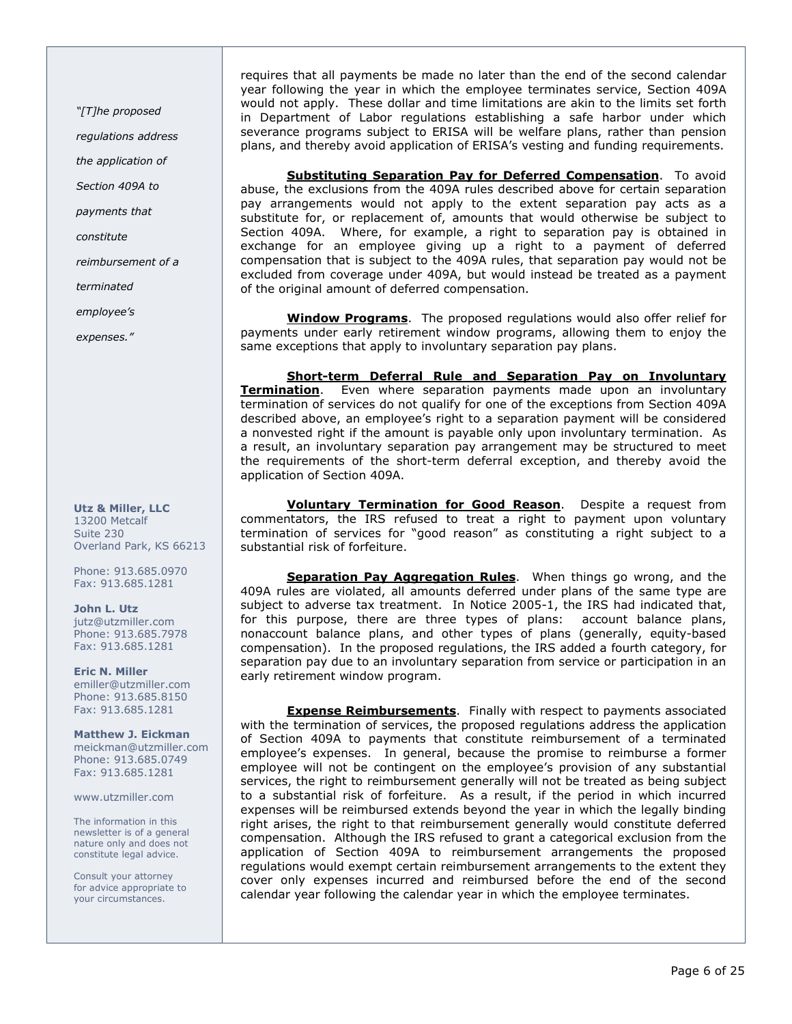"[T]he proposed

regulations address

the application of

Section 409A to

payments that

constitute

reimbursement of a

terminated

employee's

expenses."

#### Utz & Miller, LLC 13200 Metcalf Suite 230 Overland Park, KS 66213

Phone: 913.685.0970 Fax: 913.685.1281

John L. Utz jutz@utzmiller.com Phone: 913.685.7978 Fax: 913.685.1281

Eric N. Miller emiller@utzmiller.com Phone: 913.685.8150 Fax: 913.685.1281

Matthew J. Eickman meickman@utzmiller.com Phone: 913.685.0749 Fax: 913.685.1281

www.utzmiller.com

The information in this newsletter is of a general nature only and does not constitute legal advice.

Consult your attorney for advice appropriate to your circumstances.

requires that all payments be made no later than the end of the second calendar year following the year in which the employee terminates service, Section 409A would not apply. These dollar and time limitations are akin to the limits set forth in Department of Labor regulations establishing a safe harbor under which severance programs subject to ERISA will be welfare plans, rather than pension plans, and thereby avoid application of ERISA's vesting and funding requirements.

Substituting Separation Pay for Deferred Compensation. To avoid abuse, the exclusions from the 409A rules described above for certain separation pay arrangements would not apply to the extent separation pay acts as a substitute for, or replacement of, amounts that would otherwise be subject to Section 409A. Where, for example, a right to separation pay is obtained in exchange for an employee giving up a right to a payment of deferred compensation that is subject to the 409A rules, that separation pay would not be excluded from coverage under 409A, but would instead be treated as a payment of the original amount of deferred compensation.

Window Programs. The proposed regulations would also offer relief for payments under early retirement window programs, allowing them to enjoy the same exceptions that apply to involuntary separation pay plans.

Short-term Deferral Rule and Separation Pay on Involuntary Termination. Even where separation payments made upon an involuntary termination of services do not qualify for one of the exceptions from Section 409A described above, an employee's right to a separation payment will be considered a nonvested right if the amount is payable only upon involuntary termination. As a result, an involuntary separation pay arrangement may be structured to meet the requirements of the short-term deferral exception, and thereby avoid the application of Section 409A.

**Voluntary Termination for Good Reason**. Despite a request from commentators, the IRS refused to treat a right to payment upon voluntary termination of services for "good reason" as constituting a right subject to a substantial risk of forfeiture.

Separation Pay Aggregation Rules. When things go wrong, and the 409A rules are violated, all amounts deferred under plans of the same type are subject to adverse tax treatment. In Notice 2005-1, the IRS had indicated that, for this purpose, there are three types of plans: account balance plans, nonaccount balance plans, and other types of plans (generally, equity-based compensation). In the proposed regulations, the IRS added a fourth category, for separation pay due to an involuntary separation from service or participation in an early retirement window program.

**Expense Reimbursements**. Finally with respect to payments associated with the termination of services, the proposed regulations address the application of Section 409A to payments that constitute reimbursement of a terminated employee's expenses. In general, because the promise to reimburse a former employee will not be contingent on the employee's provision of any substantial services, the right to reimbursement generally will not be treated as being subject to a substantial risk of forfeiture. As a result, if the period in which incurred expenses will be reimbursed extends beyond the year in which the legally binding right arises, the right to that reimbursement generally would constitute deferred compensation. Although the IRS refused to grant a categorical exclusion from the application of Section 409A to reimbursement arrangements the proposed regulations would exempt certain reimbursement arrangements to the extent they cover only expenses incurred and reimbursed before the end of the second calendar year following the calendar year in which the employee terminates.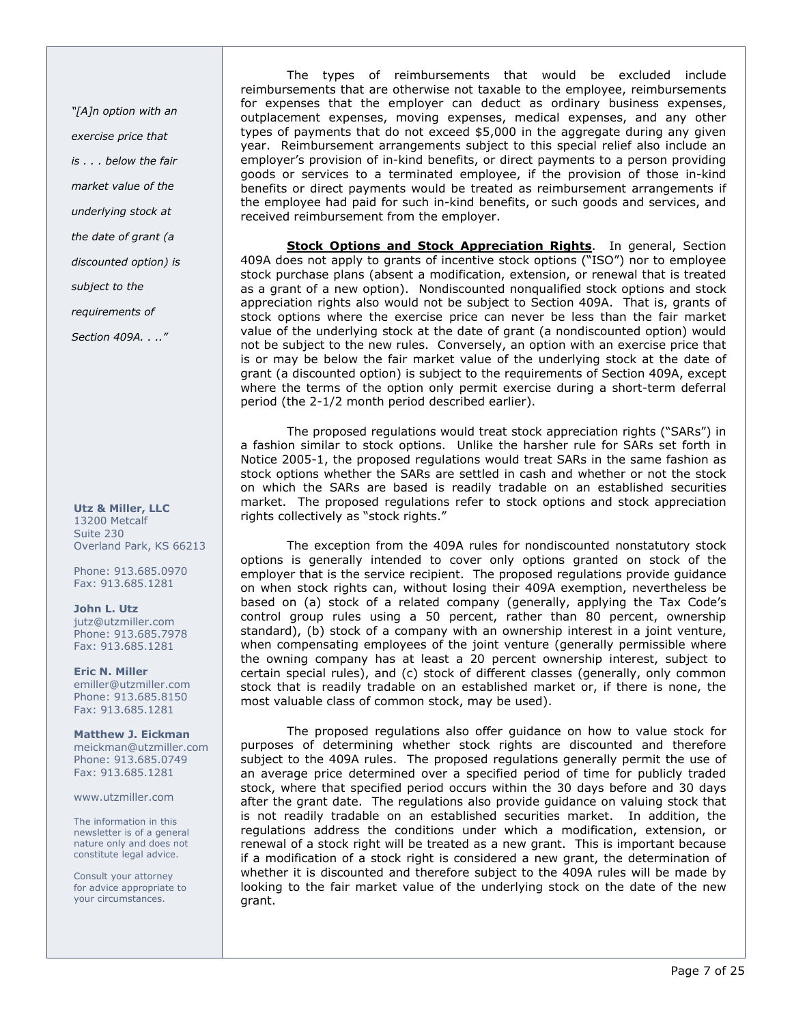"[A]n option with an exercise price that is . . . below the fair market value of the underlying stock at the date of grant (a discounted option) is subject to the requirements of

Section 409A. . .."

Utz & Miller, LLC 13200 Metcalf Suite 230 Overland Park, KS 66213

Phone: 913.685.0970 Fax: 913.685.1281

John L. Utz jutz@utzmiller.com Phone: 913.685.7978 Fax: 913.685.1281

Eric N. Miller emiller@utzmiller.com Phone: 913.685.8150 Fax: 913.685.1281

Matthew J. Eickman meickman@utzmiller.com Phone: 913.685.0749 Fax: 913.685.1281

www.utzmiller.com

The information in this newsletter is of a general nature only and does not constitute legal advice.

Consult your attorney for advice appropriate to your circumstances.

The types of reimbursements that would be excluded include reimbursements that are otherwise not taxable to the employee, reimbursements for expenses that the employer can deduct as ordinary business expenses, outplacement expenses, moving expenses, medical expenses, and any other types of payments that do not exceed \$5,000 in the aggregate during any given year. Reimbursement arrangements subject to this special relief also include an employer's provision of in-kind benefits, or direct payments to a person providing goods or services to a terminated employee, if the provision of those in-kind benefits or direct payments would be treated as reimbursement arrangements if the employee had paid for such in-kind benefits, or such goods and services, and received reimbursement from the employer.

Stock Options and Stock Appreciation Rights. In general, Section 409A does not apply to grants of incentive stock options ("ISO") nor to employee stock purchase plans (absent a modification, extension, or renewal that is treated as a grant of a new option). Nondiscounted nonqualified stock options and stock appreciation rights also would not be subject to Section 409A. That is, grants of stock options where the exercise price can never be less than the fair market value of the underlying stock at the date of grant (a nondiscounted option) would not be subject to the new rules. Conversely, an option with an exercise price that is or may be below the fair market value of the underlying stock at the date of grant (a discounted option) is subject to the requirements of Section 409A, except where the terms of the option only permit exercise during a short-term deferral period (the 2-1/2 month period described earlier).

The proposed regulations would treat stock appreciation rights ("SARs") in a fashion similar to stock options. Unlike the harsher rule for SARs set forth in Notice 2005-1, the proposed regulations would treat SARs in the same fashion as stock options whether the SARs are settled in cash and whether or not the stock on which the SARs are based is readily tradable on an established securities market. The proposed regulations refer to stock options and stock appreciation rights collectively as "stock rights."

The exception from the 409A rules for nondiscounted nonstatutory stock options is generally intended to cover only options granted on stock of the employer that is the service recipient. The proposed regulations provide guidance on when stock rights can, without losing their 409A exemption, nevertheless be based on (a) stock of a related company (generally, applying the Tax Code's control group rules using a 50 percent, rather than 80 percent, ownership standard), (b) stock of a company with an ownership interest in a joint venture, when compensating employees of the joint venture (generally permissible where the owning company has at least a 20 percent ownership interest, subject to certain special rules), and (c) stock of different classes (generally, only common stock that is readily tradable on an established market or, if there is none, the most valuable class of common stock, may be used).

The proposed regulations also offer guidance on how to value stock for purposes of determining whether stock rights are discounted and therefore subject to the 409A rules. The proposed regulations generally permit the use of an average price determined over a specified period of time for publicly traded stock, where that specified period occurs within the 30 days before and 30 days after the grant date. The regulations also provide guidance on valuing stock that is not readily tradable on an established securities market. In addition, the regulations address the conditions under which a modification, extension, or renewal of a stock right will be treated as a new grant. This is important because if a modification of a stock right is considered a new grant, the determination of whether it is discounted and therefore subject to the 409A rules will be made by looking to the fair market value of the underlying stock on the date of the new grant.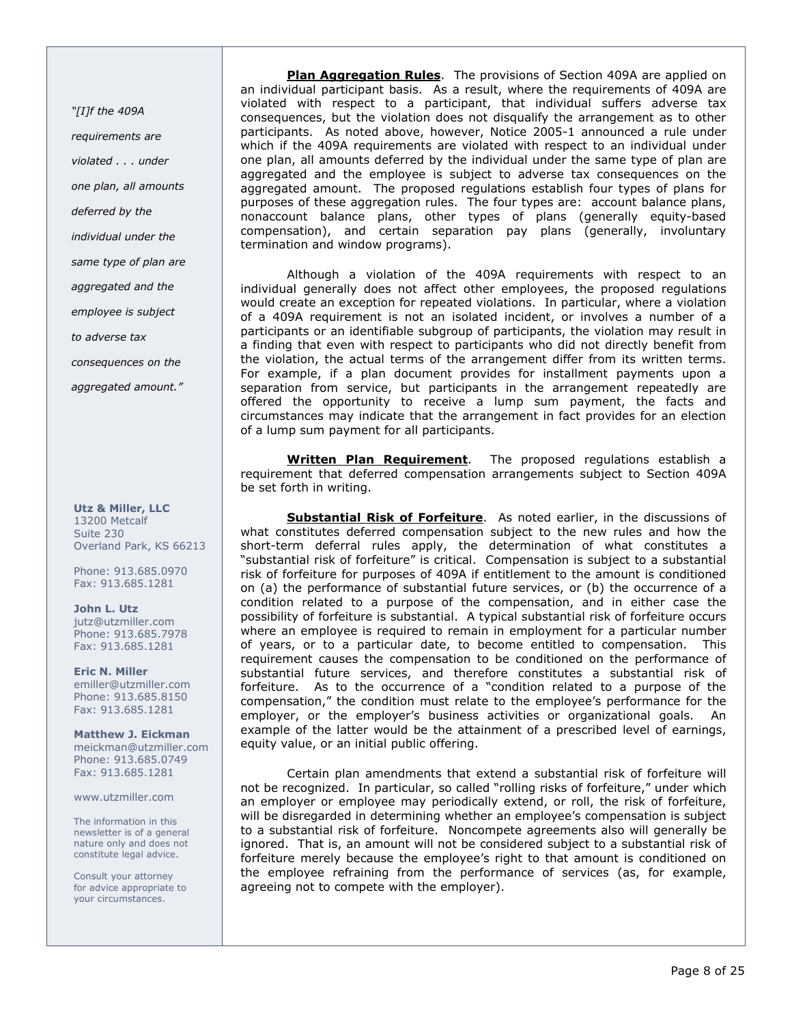"[I]f the 409A requirements are violated . . . under one plan, all amounts deferred by the individual under the same type of plan are aggregated and the employee is subject to adverse tax consequences on the aggregated amount."

#### Utz & Miller, LLC 13200 Metcalf Suite 230 Overland Park, KS 66213

Phone: 913.685.0970 Fax: 913.685.1281

John L. Utz jutz@utzmiller.com Phone: 913.685.7978 Fax: 913.685.1281

Eric N. Miller emiller@utzmiller.com Phone: 913.685.8150 Fax: 913.685.1281

Matthew J. Eickman meickman@utzmiller.com Phone: 913.685.0749 Fax: 913.685.1281

www.utzmiller.com

The information in this newsletter is of a general nature only and does not constitute legal advice.

Consult your attorney for advice appropriate to your circumstances.

Plan Aggregation Rules. The provisions of Section 409A are applied on an individual participant basis. As a result, where the requirements of 409A are violated with respect to a participant, that individual suffers adverse tax consequences, but the violation does not disqualify the arrangement as to other participants. As noted above, however, Notice 2005-1 announced a rule under which if the 409A requirements are violated with respect to an individual under one plan, all amounts deferred by the individual under the same type of plan are aggregated and the employee is subject to adverse tax consequences on the aggregated amount. The proposed regulations establish four types of plans for purposes of these aggregation rules. The four types are: account balance plans, nonaccount balance plans, other types of plans (generally equity-based compensation), and certain separation pay plans (generally, involuntary termination and window programs).

Although a violation of the 409A requirements with respect to an individual generally does not affect other employees, the proposed regulations would create an exception for repeated violations. In particular, where a violation of a 409A requirement is not an isolated incident, or involves a number of a participants or an identifiable subgroup of participants, the violation may result in a finding that even with respect to participants who did not directly benefit from the violation, the actual terms of the arrangement differ from its written terms. For example, if a plan document provides for installment payments upon a separation from service, but participants in the arrangement repeatedly are offered the opportunity to receive a lump sum payment, the facts and circumstances may indicate that the arrangement in fact provides for an election of a lump sum payment for all participants.

Written Plan Requirement. The proposed regulations establish a requirement that deferred compensation arrangements subject to Section 409A be set forth in writing.

Substantial Risk of Forfeiture. As noted earlier, in the discussions of what constitutes deferred compensation subject to the new rules and how the short-term deferral rules apply, the determination of what constitutes a "substantial risk of forfeiture" is critical. Compensation is subject to a substantial risk of forfeiture for purposes of 409A if entitlement to the amount is conditioned on (a) the performance of substantial future services, or (b) the occurrence of a condition related to a purpose of the compensation, and in either case the possibility of forfeiture is substantial. A typical substantial risk of forfeiture occurs where an employee is required to remain in employment for a particular number of years, or to a particular date, to become entitled to compensation. This requirement causes the compensation to be conditioned on the performance of substantial future services, and therefore constitutes a substantial risk of forfeiture. As to the occurrence of a "condition related to a purpose of the compensation," the condition must relate to the employee's performance for the employer, or the employer's business activities or organizational goals. An example of the latter would be the attainment of a prescribed level of earnings, equity value, or an initial public offering.

Certain plan amendments that extend a substantial risk of forfeiture will not be recognized. In particular, so called "rolling risks of forfeiture," under which an employer or employee may periodically extend, or roll, the risk of forfeiture, will be disregarded in determining whether an employee's compensation is subject to a substantial risk of forfeiture. Noncompete agreements also will generally be ignored. That is, an amount will not be considered subject to a substantial risk of forfeiture merely because the employee's right to that amount is conditioned on the employee refraining from the performance of services (as, for example, agreeing not to compete with the employer).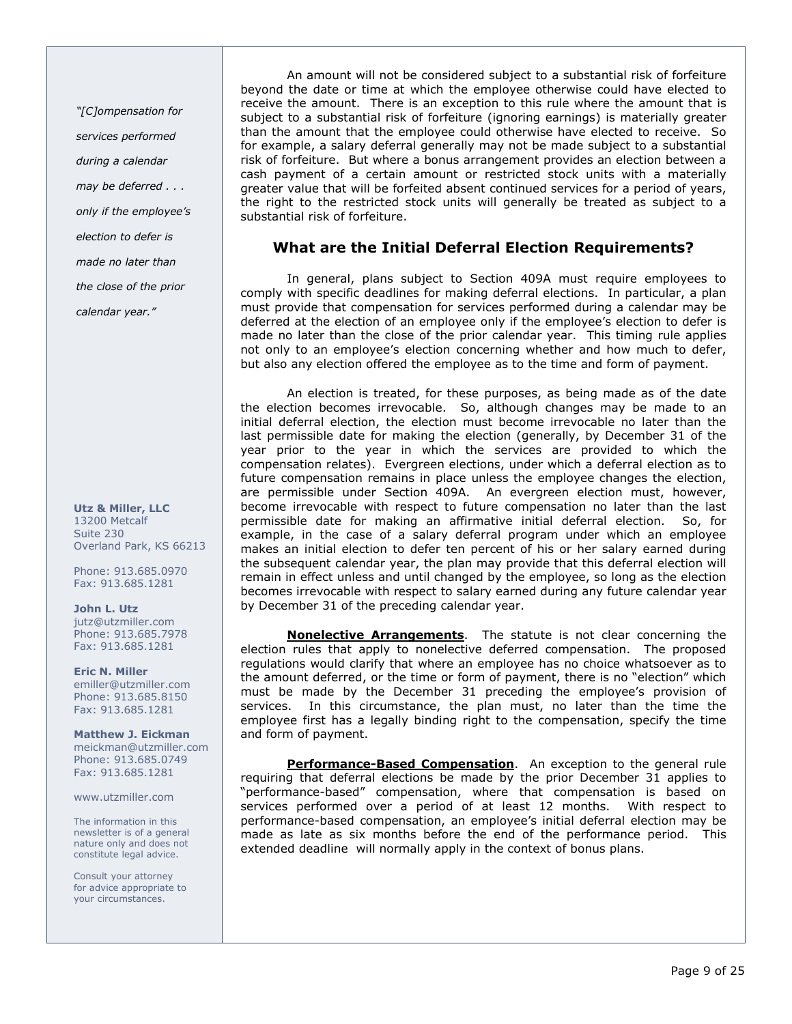"[C]ompensation for services performed during a calendar may be deferred . . . only if the employee's election to defer is made no later than the close of the prior calendar year."

Utz & Miller, LLC 13200 Metcalf Suite 230 Overland Park, KS 66213

Phone: 913.685.0970 Fax: 913.685.1281

John L. Utz jutz@utzmiller.com Phone: 913.685.7978 Fax: 913.685.1281

Eric N. Miller emiller@utzmiller.com Phone: 913.685.8150 Fax: 913.685.1281

Matthew J. Eickman meickman@utzmiller.com Phone: 913.685.0749 Fax: 913.685.1281

www.utzmiller.com

The information in this newsletter is of a general nature only and does not constitute legal advice.

Consult your attorney for advice appropriate to your circumstances.

An amount will not be considered subject to a substantial risk of forfeiture beyond the date or time at which the employee otherwise could have elected to receive the amount. There is an exception to this rule where the amount that is subject to a substantial risk of forfeiture (ignoring earnings) is materially greater than the amount that the employee could otherwise have elected to receive. So for example, a salary deferral generally may not be made subject to a substantial risk of forfeiture. But where a bonus arrangement provides an election between a cash payment of a certain amount or restricted stock units with a materially greater value that will be forfeited absent continued services for a period of years, the right to the restricted stock units will generally be treated as subject to a substantial risk of forfeiture.

# What are the Initial Deferral Election Requirements?

In general, plans subject to Section 409A must require employees to comply with specific deadlines for making deferral elections. In particular, a plan must provide that compensation for services performed during a calendar may be deferred at the election of an employee only if the employee's election to defer is made no later than the close of the prior calendar year. This timing rule applies not only to an employee's election concerning whether and how much to defer, but also any election offered the employee as to the time and form of payment.

An election is treated, for these purposes, as being made as of the date the election becomes irrevocable. So, although changes may be made to an initial deferral election, the election must become irrevocable no later than the last permissible date for making the election (generally, by December 31 of the year prior to the year in which the services are provided to which the compensation relates). Evergreen elections, under which a deferral election as to future compensation remains in place unless the employee changes the election, are permissible under Section 409A. An evergreen election must, however, become irrevocable with respect to future compensation no later than the last permissible date for making an affirmative initial deferral election. So, for example, in the case of a salary deferral program under which an employee makes an initial election to defer ten percent of his or her salary earned during the subsequent calendar year, the plan may provide that this deferral election will remain in effect unless and until changed by the employee, so long as the election becomes irrevocable with respect to salary earned during any future calendar year by December 31 of the preceding calendar year.

**Nonelective Arrangements**. The statute is not clear concerning the election rules that apply to nonelective deferred compensation. The proposed regulations would clarify that where an employee has no choice whatsoever as to the amount deferred, or the time or form of payment, there is no "election" which must be made by the December 31 preceding the employee's provision of services. In this circumstance, the plan must, no later than the time the employee first has a legally binding right to the compensation, specify the time and form of payment.

Performance-Based Compensation. An exception to the general rule requiring that deferral elections be made by the prior December 31 applies to "performance-based" compensation, where that compensation is based on services performed over a period of at least 12 months. With respect to performance-based compensation, an employee's initial deferral election may be made as late as six months before the end of the performance period. This extended deadline will normally apply in the context of bonus plans.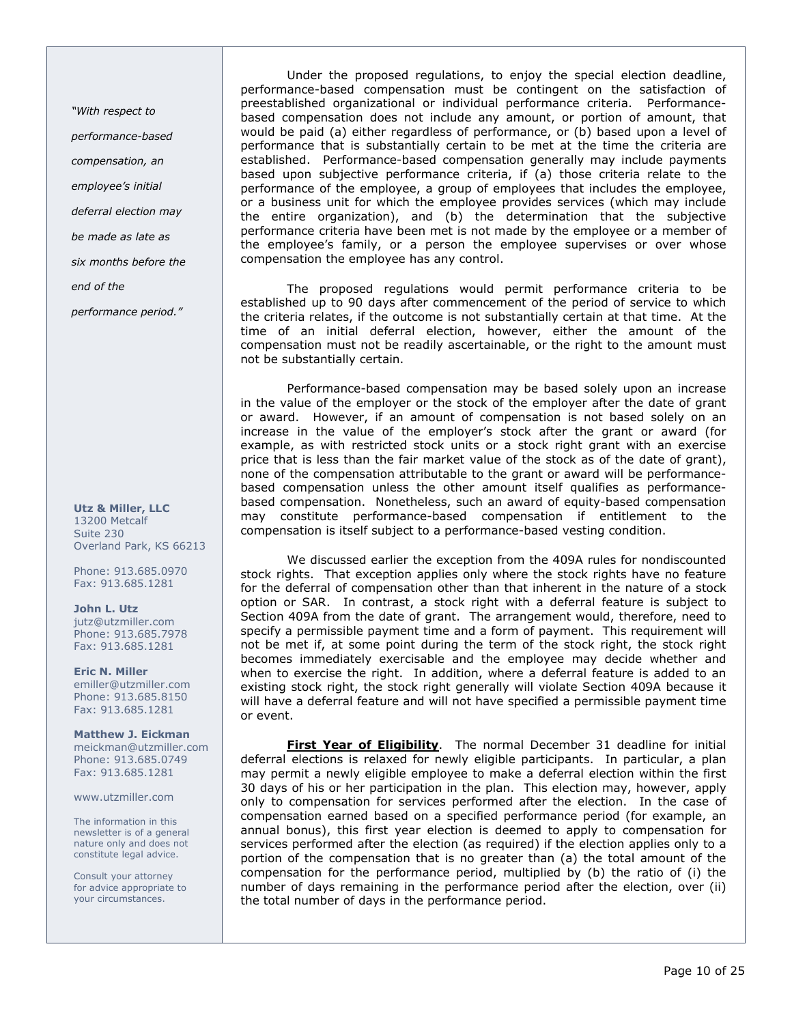"With respect to performance-based compensation, an employee's initial deferral election may be made as late as six months before the end of the

performance period."

Utz & Miller, LLC 13200 Metcalf Suite 230 Overland Park, KS 66213

Phone: 913.685.0970 Fax: 913.685.1281

John L. Utz jutz@utzmiller.com Phone: 913.685.7978 Fax: 913.685.1281

Eric N. Miller emiller@utzmiller.com Phone: 913.685.8150 Fax: 913.685.1281

Matthew J. Eickman meickman@utzmiller.com Phone: 913.685.0749 Fax: 913.685.1281

www.utzmiller.com

The information in this newsletter is of a general nature only and does not constitute legal advice.

Consult your attorney for advice appropriate to your circumstances.

Under the proposed regulations, to enjoy the special election deadline, performance-based compensation must be contingent on the satisfaction of preestablished organizational or individual performance criteria. Performancebased compensation does not include any amount, or portion of amount, that would be paid (a) either regardless of performance, or (b) based upon a level of performance that is substantially certain to be met at the time the criteria are established. Performance-based compensation generally may include payments based upon subjective performance criteria, if (a) those criteria relate to the performance of the employee, a group of employees that includes the employee, or a business unit for which the employee provides services (which may include the entire organization), and (b) the determination that the subjective performance criteria have been met is not made by the employee or a member of the employee's family, or a person the employee supervises or over whose compensation the employee has any control.

The proposed regulations would permit performance criteria to be established up to 90 days after commencement of the period of service to which the criteria relates, if the outcome is not substantially certain at that time. At the time of an initial deferral election, however, either the amount of the compensation must not be readily ascertainable, or the right to the amount must not be substantially certain.

Performance-based compensation may be based solely upon an increase in the value of the employer or the stock of the employer after the date of grant or award. However, if an amount of compensation is not based solely on an increase in the value of the employer's stock after the grant or award (for example, as with restricted stock units or a stock right grant with an exercise price that is less than the fair market value of the stock as of the date of grant), none of the compensation attributable to the grant or award will be performancebased compensation unless the other amount itself qualifies as performancebased compensation. Nonetheless, such an award of equity-based compensation may constitute performance-based compensation if entitlement to the compensation is itself subject to a performance-based vesting condition.

We discussed earlier the exception from the 409A rules for nondiscounted stock rights. That exception applies only where the stock rights have no feature for the deferral of compensation other than that inherent in the nature of a stock option or SAR. In contrast, a stock right with a deferral feature is subject to Section 409A from the date of grant. The arrangement would, therefore, need to specify a permissible payment time and a form of payment. This requirement will not be met if, at some point during the term of the stock right, the stock right becomes immediately exercisable and the employee may decide whether and when to exercise the right. In addition, where a deferral feature is added to an existing stock right, the stock right generally will violate Section 409A because it will have a deferral feature and will not have specified a permissible payment time or event.

First Year of Eligibility. The normal December 31 deadline for initial deferral elections is relaxed for newly eligible participants. In particular, a plan may permit a newly eligible employee to make a deferral election within the first 30 days of his or her participation in the plan. This election may, however, apply only to compensation for services performed after the election. In the case of compensation earned based on a specified performance period (for example, an annual bonus), this first year election is deemed to apply to compensation for services performed after the election (as required) if the election applies only to a portion of the compensation that is no greater than (a) the total amount of the compensation for the performance period, multiplied by (b) the ratio of (i) the number of days remaining in the performance period after the election, over (ii) the total number of days in the performance period.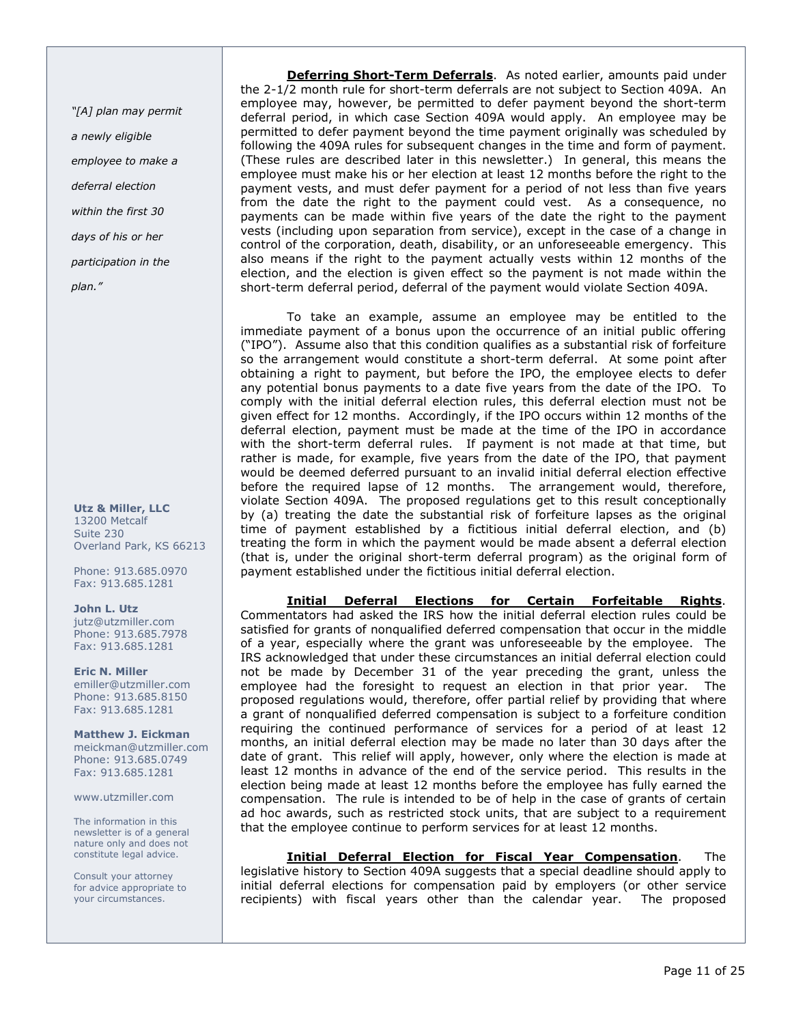"[A] plan may permit a newly eligible employee to make a deferral election within the first 30 days of his or her participation in the plan."

Utz & Miller, LLC 13200 Metcalf Suite 230 Overland Park, KS 66213

Phone: 913.685.0970 Fax: 913.685.1281

John L. Utz jutz@utzmiller.com Phone: 913.685.7978 Fax: 913.685.1281

Eric N. Miller emiller@utzmiller.com Phone: 913.685.8150 Fax: 913.685.1281

Matthew J. Eickman meickman@utzmiller.com Phone: 913.685.0749 Fax: 913.685.1281

www.utzmiller.com

The information in this newsletter is of a general nature only and does not constitute legal advice.

Consult your attorney for advice appropriate to your circumstances.

Deferring Short-Term Deferrals. As noted earlier, amounts paid under the 2-1/2 month rule for short-term deferrals are not subject to Section 409A. An employee may, however, be permitted to defer payment beyond the short-term deferral period, in which case Section 409A would apply. An employee may be permitted to defer payment beyond the time payment originally was scheduled by following the 409A rules for subsequent changes in the time and form of payment. (These rules are described later in this newsletter.) In general, this means the employee must make his or her election at least 12 months before the right to the payment vests, and must defer payment for a period of not less than five years from the date the right to the payment could vest. As a consequence, no payments can be made within five years of the date the right to the payment vests (including upon separation from service), except in the case of a change in control of the corporation, death, disability, or an unforeseeable emergency. This also means if the right to the payment actually vests within 12 months of the election, and the election is given effect so the payment is not made within the short-term deferral period, deferral of the payment would violate Section 409A.

To take an example, assume an employee may be entitled to the immediate payment of a bonus upon the occurrence of an initial public offering ("IPO"). Assume also that this condition qualifies as a substantial risk of forfeiture so the arrangement would constitute a short-term deferral. At some point after obtaining a right to payment, but before the IPO, the employee elects to defer any potential bonus payments to a date five years from the date of the IPO. To comply with the initial deferral election rules, this deferral election must not be given effect for 12 months. Accordingly, if the IPO occurs within 12 months of the deferral election, payment must be made at the time of the IPO in accordance with the short-term deferral rules. If payment is not made at that time, but rather is made, for example, five years from the date of the IPO, that payment would be deemed deferred pursuant to an invalid initial deferral election effective before the required lapse of 12 months. The arrangement would, therefore, violate Section 409A. The proposed regulations get to this result conceptionally by (a) treating the date the substantial risk of forfeiture lapses as the original time of payment established by a fictitious initial deferral election, and (b) treating the form in which the payment would be made absent a deferral election (that is, under the original short-term deferral program) as the original form of payment established under the fictitious initial deferral election.

Initial Deferral Elections for Certain Forfeitable Rights. Commentators had asked the IRS how the initial deferral election rules could be satisfied for grants of nonqualified deferred compensation that occur in the middle of a year, especially where the grant was unforeseeable by the employee. The IRS acknowledged that under these circumstances an initial deferral election could not be made by December 31 of the year preceding the grant, unless the employee had the foresight to request an election in that prior year. The proposed regulations would, therefore, offer partial relief by providing that where a grant of nonqualified deferred compensation is subject to a forfeiture condition requiring the continued performance of services for a period of at least 12 months, an initial deferral election may be made no later than 30 days after the date of grant. This relief will apply, however, only where the election is made at least 12 months in advance of the end of the service period. This results in the election being made at least 12 months before the employee has fully earned the compensation. The rule is intended to be of help in the case of grants of certain ad hoc awards, such as restricted stock units, that are subject to a requirement that the employee continue to perform services for at least 12 months.

Initial Deferral Election for Fiscal Year Compensation. The legislative history to Section 409A suggests that a special deadline should apply to initial deferral elections for compensation paid by employers (or other service recipients) with fiscal years other than the calendar year. The proposed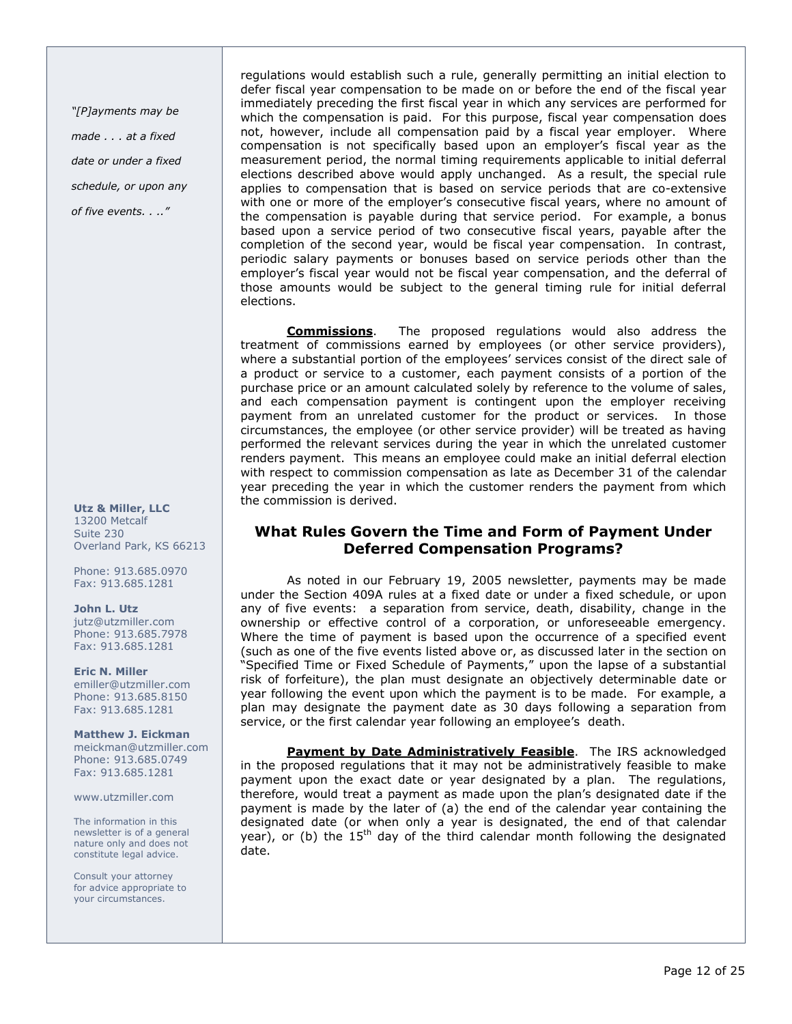"[P]ayments may be made . . . at a fixed date or under a fixed schedule, or upon any of five events. . .."

Utz & Miller, LLC 13200 Metcalf Suite 230 Overland Park, KS 66213

Phone: 913.685.0970 Fax: 913.685.1281

#### John L. Utz jutz@utzmiller.com

Phone: 913.685.7978 Fax: 913.685.1281

Eric N. Miller emiller@utzmiller.com Phone: 913.685.8150 Fax: 913.685.1281

Matthew J. Eickman meickman@utzmiller.com Phone: 913.685.0749 Fax: 913.685.1281

www.utzmiller.com

The information in this newsletter is of a general nature only and does not constitute legal advice.

Consult your attorney for advice appropriate to your circumstances.

regulations would establish such a rule, generally permitting an initial election to defer fiscal year compensation to be made on or before the end of the fiscal year immediately preceding the first fiscal year in which any services are performed for which the compensation is paid. For this purpose, fiscal year compensation does not, however, include all compensation paid by a fiscal year employer. Where compensation is not specifically based upon an employer's fiscal year as the measurement period, the normal timing requirements applicable to initial deferral elections described above would apply unchanged. As a result, the special rule applies to compensation that is based on service periods that are co-extensive with one or more of the employer's consecutive fiscal years, where no amount of the compensation is payable during that service period. For example, a bonus based upon a service period of two consecutive fiscal years, payable after the completion of the second year, would be fiscal year compensation. In contrast, periodic salary payments or bonuses based on service periods other than the employer's fiscal year would not be fiscal year compensation, and the deferral of those amounts would be subject to the general timing rule for initial deferral elections.

Commissions. The proposed regulations would also address the treatment of commissions earned by employees (or other service providers), where a substantial portion of the employees' services consist of the direct sale of a product or service to a customer, each payment consists of a portion of the purchase price or an amount calculated solely by reference to the volume of sales, and each compensation payment is contingent upon the employer receiving payment from an unrelated customer for the product or services. In those circumstances, the employee (or other service provider) will be treated as having performed the relevant services during the year in which the unrelated customer renders payment. This means an employee could make an initial deferral election with respect to commission compensation as late as December 31 of the calendar year preceding the year in which the customer renders the payment from which the commission is derived.

# What Rules Govern the Time and Form of Payment Under Deferred Compensation Programs?

As noted in our February 19, 2005 newsletter, payments may be made under the Section 409A rules at a fixed date or under a fixed schedule, or upon any of five events: a separation from service, death, disability, change in the ownership or effective control of a corporation, or unforeseeable emergency. Where the time of payment is based upon the occurrence of a specified event (such as one of the five events listed above or, as discussed later in the section on "Specified Time or Fixed Schedule of Payments," upon the lapse of a substantial risk of forfeiture), the plan must designate an objectively determinable date or year following the event upon which the payment is to be made. For example, a plan may designate the payment date as 30 days following a separation from service, or the first calendar year following an employee's death.

Payment by Date Administratively Feasible. The IRS acknowledged in the proposed regulations that it may not be administratively feasible to make payment upon the exact date or year designated by a plan. The regulations, therefore, would treat a payment as made upon the plan's designated date if the payment is made by the later of (a) the end of the calendar year containing the designated date (or when only a year is designated, the end of that calendar year), or (b) the  $15<sup>th</sup>$  day of the third calendar month following the designated date.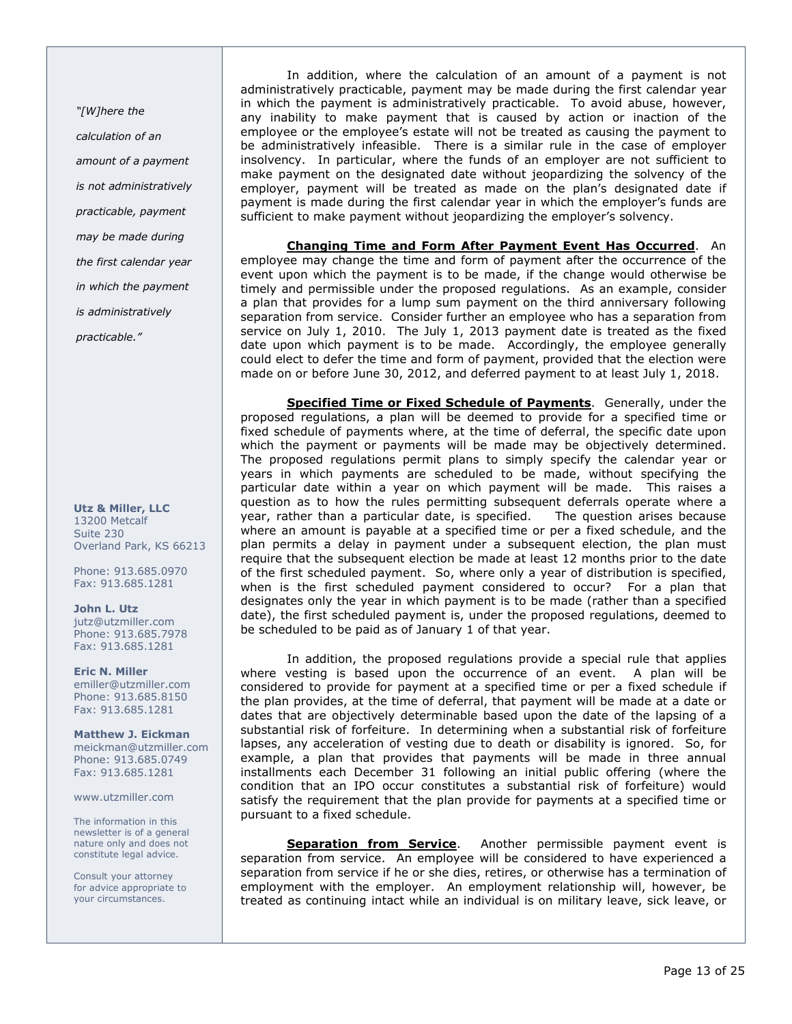"[W]here the calculation of an amount of a payment is not administratively practicable, payment may be made during the first calendar year in which the payment is administratively practicable."

Utz & Miller, LLC 13200 Metcalf Suite 230 Overland Park, KS 66213

Phone: 913.685.0970 Fax: 913.685.1281

John L. Utz jutz@utzmiller.com Phone: 913.685.7978 Fax: 913.685.1281

Eric N. Miller emiller@utzmiller.com Phone: 913.685.8150 Fax: 913.685.1281

Matthew J. Eickman meickman@utzmiller.com Phone: 913.685.0749 Fax: 913.685.1281

www.utzmiller.com

The information in this newsletter is of a general nature only and does not constitute legal advice.

Consult your attorney for advice appropriate to your circumstances.

In addition, where the calculation of an amount of a payment is not administratively practicable, payment may be made during the first calendar year in which the payment is administratively practicable. To avoid abuse, however, any inability to make payment that is caused by action or inaction of the employee or the employee's estate will not be treated as causing the payment to be administratively infeasible. There is a similar rule in the case of employer insolvency. In particular, where the funds of an employer are not sufficient to make payment on the designated date without jeopardizing the solvency of the employer, payment will be treated as made on the plan's designated date if payment is made during the first calendar year in which the employer's funds are sufficient to make payment without jeopardizing the employer's solvency.

Changing Time and Form After Payment Event Has Occurred. An employee may change the time and form of payment after the occurrence of the event upon which the payment is to be made, if the change would otherwise be timely and permissible under the proposed regulations. As an example, consider a plan that provides for a lump sum payment on the third anniversary following separation from service. Consider further an employee who has a separation from service on July 1, 2010. The July 1, 2013 payment date is treated as the fixed date upon which payment is to be made. Accordingly, the employee generally could elect to defer the time and form of payment, provided that the election were made on or before June 30, 2012, and deferred payment to at least July 1, 2018.

Specified Time or Fixed Schedule of Payments. Generally, under the proposed regulations, a plan will be deemed to provide for a specified time or fixed schedule of payments where, at the time of deferral, the specific date upon which the payment or payments will be made may be objectively determined. The proposed regulations permit plans to simply specify the calendar year or years in which payments are scheduled to be made, without specifying the particular date within a year on which payment will be made. This raises a question as to how the rules permitting subsequent deferrals operate where a year, rather than a particular date, is specified. The question arises because where an amount is payable at a specified time or per a fixed schedule, and the plan permits a delay in payment under a subsequent election, the plan must require that the subsequent election be made at least 12 months prior to the date of the first scheduled payment. So, where only a year of distribution is specified, when is the first scheduled payment considered to occur? For a plan that designates only the year in which payment is to be made (rather than a specified date), the first scheduled payment is, under the proposed regulations, deemed to be scheduled to be paid as of January 1 of that year.

In addition, the proposed regulations provide a special rule that applies where vesting is based upon the occurrence of an event. A plan will be considered to provide for payment at a specified time or per a fixed schedule if the plan provides, at the time of deferral, that payment will be made at a date or dates that are objectively determinable based upon the date of the lapsing of a substantial risk of forfeiture. In determining when a substantial risk of forfeiture lapses, any acceleration of vesting due to death or disability is ignored. So, for example, a plan that provides that payments will be made in three annual installments each December 31 following an initial public offering (where the condition that an IPO occur constitutes a substantial risk of forfeiture) would satisfy the requirement that the plan provide for payments at a specified time or pursuant to a fixed schedule.

Separation from Service. Another permissible payment event is separation from service. An employee will be considered to have experienced a separation from service if he or she dies, retires, or otherwise has a termination of employment with the employer. An employment relationship will, however, be treated as continuing intact while an individual is on military leave, sick leave, or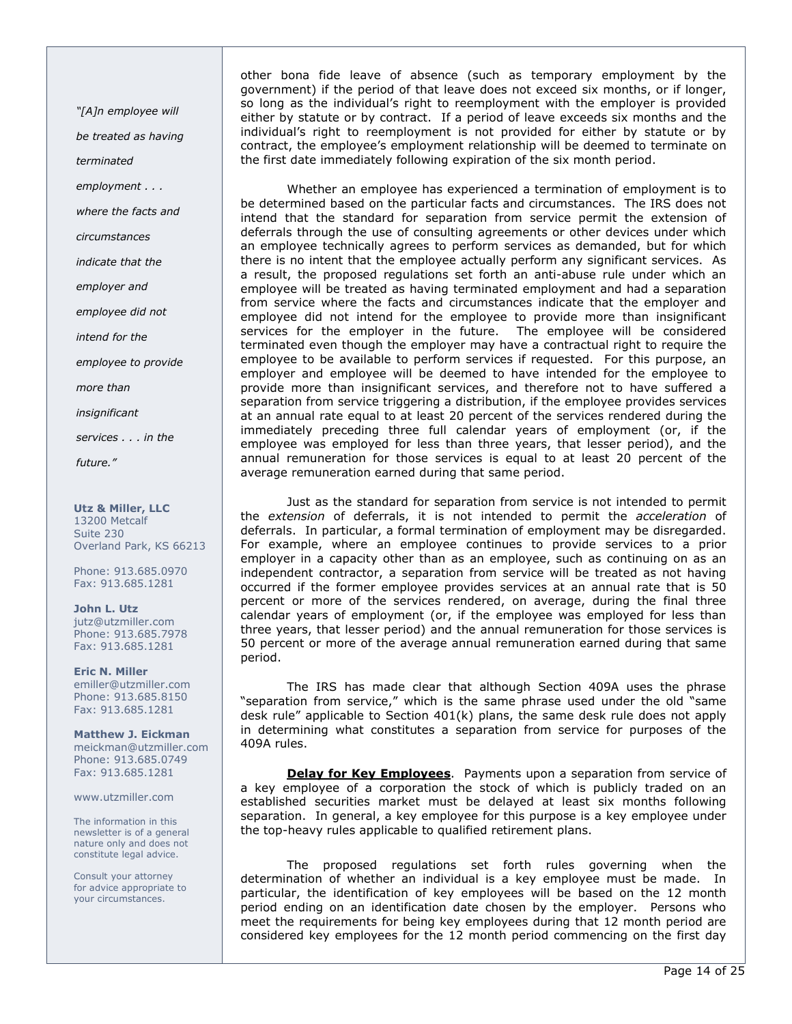"[A]n employee will be treated as having terminated employment . . . where the facts and circumstances indicate that the employer and employee did not intend for the employee to provide more than insignificant services . . . in the future."

Utz & Miller, LLC 13200 Metcalf Suite 230 Overland Park, KS 66213

Phone: 913.685.0970 Fax: 913.685.1281

John L. Utz jutz@utzmiller.com Phone: 913.685.7978 Fax: 913.685.1281

Eric N. Miller emiller@utzmiller.com Phone: 913.685.8150 Fax: 913.685.1281

Matthew J. Eickman meickman@utzmiller.com Phone: 913.685.0749 Fax: 913.685.1281

www.utzmiller.com

The information in this newsletter is of a general nature only and does not constitute legal advice.

Consult your attorney for advice appropriate to your circumstances.

other bona fide leave of absence (such as temporary employment by the government) if the period of that leave does not exceed six months, or if longer, so long as the individual's right to reemployment with the employer is provided either by statute or by contract. If a period of leave exceeds six months and the individual's right to reemployment is not provided for either by statute or by contract, the employee's employment relationship will be deemed to terminate on the first date immediately following expiration of the six month period.

Whether an employee has experienced a termination of employment is to be determined based on the particular facts and circumstances. The IRS does not intend that the standard for separation from service permit the extension of deferrals through the use of consulting agreements or other devices under which an employee technically agrees to perform services as demanded, but for which there is no intent that the employee actually perform any significant services. As a result, the proposed regulations set forth an anti-abuse rule under which an employee will be treated as having terminated employment and had a separation from service where the facts and circumstances indicate that the employer and employee did not intend for the employee to provide more than insignificant services for the employer in the future. The employee will be considered terminated even though the employer may have a contractual right to require the employee to be available to perform services if requested. For this purpose, an employer and employee will be deemed to have intended for the employee to provide more than insignificant services, and therefore not to have suffered a separation from service triggering a distribution, if the employee provides services at an annual rate equal to at least 20 percent of the services rendered during the immediately preceding three full calendar years of employment (or, if the employee was employed for less than three years, that lesser period), and the annual remuneration for those services is equal to at least 20 percent of the average remuneration earned during that same period.

Just as the standard for separation from service is not intended to permit the extension of deferrals, it is not intended to permit the acceleration of deferrals. In particular, a formal termination of employment may be disregarded. For example, where an employee continues to provide services to a prior employer in a capacity other than as an employee, such as continuing on as an independent contractor, a separation from service will be treated as not having occurred if the former employee provides services at an annual rate that is 50 percent or more of the services rendered, on average, during the final three calendar years of employment (or, if the employee was employed for less than three years, that lesser period) and the annual remuneration for those services is 50 percent or more of the average annual remuneration earned during that same period.

The IRS has made clear that although Section 409A uses the phrase "separation from service," which is the same phrase used under the old "same desk rule" applicable to Section 401(k) plans, the same desk rule does not apply in determining what constitutes a separation from service for purposes of the 409A rules.

Delay for Key Employees. Payments upon a separation from service of a key employee of a corporation the stock of which is publicly traded on an established securities market must be delayed at least six months following separation. In general, a key employee for this purpose is a key employee under the top-heavy rules applicable to qualified retirement plans.

The proposed regulations set forth rules governing when the determination of whether an individual is a key employee must be made. In particular, the identification of key employees will be based on the 12 month period ending on an identification date chosen by the employer. Persons who meet the requirements for being key employees during that 12 month period are considered key employees for the 12 month period commencing on the first day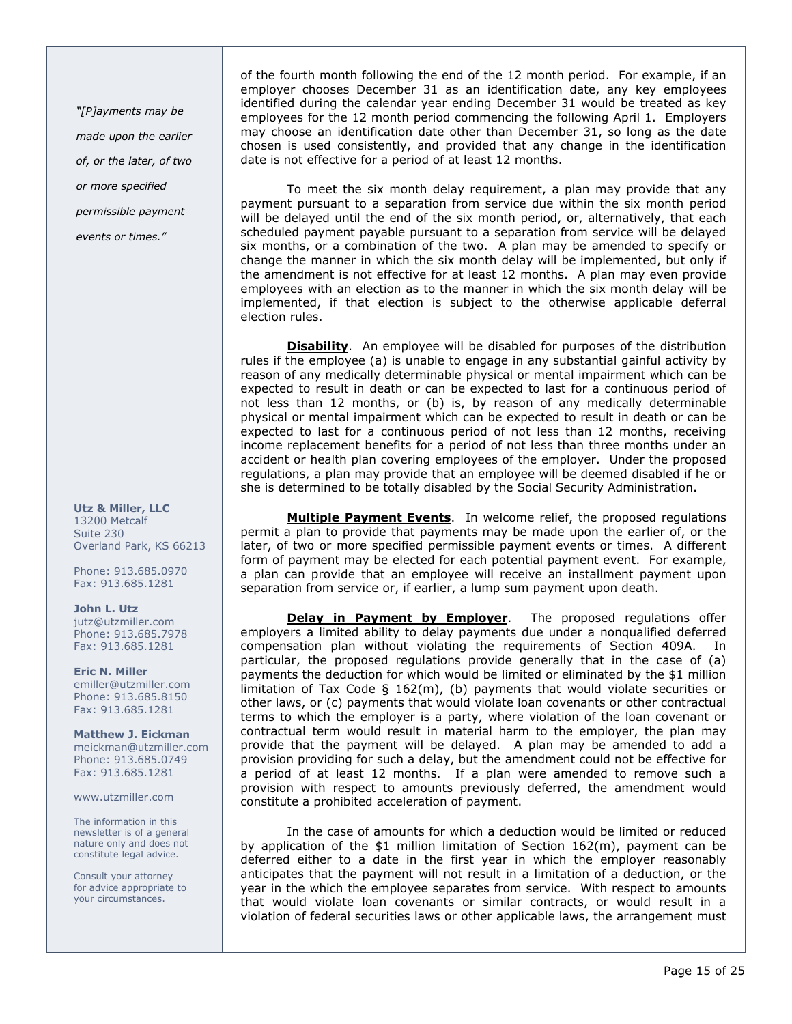"[P]ayments may be made upon the earlier of, or the later, of two or more specified permissible payment events or times."

#### Utz & Miller, LLC 13200 Metcalf Suite 230 Overland Park, KS 66213

Phone: 913.685.0970 Fax: 913.685.1281

## John L. Utz

jutz@utzmiller.com Phone: 913.685.7978 Fax: 913.685.1281

Eric N. Miller emiller@utzmiller.com Phone: 913.685.8150 Fax: 913.685.1281

Matthew J. Eickman meickman@utzmiller.com Phone: 913.685.0749 Fax: 913.685.1281

www.utzmiller.com

The information in this newsletter is of a general nature only and does not constitute legal advice.

Consult your attorney for advice appropriate to your circumstances.

of the fourth month following the end of the 12 month period. For example, if an employer chooses December 31 as an identification date, any key employees identified during the calendar year ending December 31 would be treated as key employees for the 12 month period commencing the following April 1. Employers may choose an identification date other than December 31, so long as the date chosen is used consistently, and provided that any change in the identification date is not effective for a period of at least 12 months.

To meet the six month delay requirement, a plan may provide that any payment pursuant to a separation from service due within the six month period will be delayed until the end of the six month period, or, alternatively, that each scheduled payment payable pursuant to a separation from service will be delayed six months, or a combination of the two. A plan may be amended to specify or change the manner in which the six month delay will be implemented, but only if the amendment is not effective for at least 12 months. A plan may even provide employees with an election as to the manner in which the six month delay will be implemented, if that election is subject to the otherwise applicable deferral election rules.

**Disability**. An employee will be disabled for purposes of the distribution rules if the employee (a) is unable to engage in any substantial gainful activity by reason of any medically determinable physical or mental impairment which can be expected to result in death or can be expected to last for a continuous period of not less than 12 months, or (b) is, by reason of any medically determinable physical or mental impairment which can be expected to result in death or can be expected to last for a continuous period of not less than 12 months, receiving income replacement benefits for a period of not less than three months under an accident or health plan covering employees of the employer. Under the proposed regulations, a plan may provide that an employee will be deemed disabled if he or she is determined to be totally disabled by the Social Security Administration.

Multiple Payment Events. In welcome relief, the proposed regulations permit a plan to provide that payments may be made upon the earlier of, or the later, of two or more specified permissible payment events or times. A different form of payment may be elected for each potential payment event. For example, a plan can provide that an employee will receive an installment payment upon separation from service or, if earlier, a lump sum payment upon death.

**Delay in Payment by Employer**. The proposed regulations offer employers a limited ability to delay payments due under a nonqualified deferred compensation plan without violating the requirements of Section 409A. In particular, the proposed regulations provide generally that in the case of (a) payments the deduction for which would be limited or eliminated by the \$1 million limitation of Tax Code  $\S$  162(m), (b) payments that would violate securities or other laws, or (c) payments that would violate loan covenants or other contractual terms to which the employer is a party, where violation of the loan covenant or contractual term would result in material harm to the employer, the plan may provide that the payment will be delayed. A plan may be amended to add a provision providing for such a delay, but the amendment could not be effective for a period of at least 12 months. If a plan were amended to remove such a provision with respect to amounts previously deferred, the amendment would constitute a prohibited acceleration of payment.

In the case of amounts for which a deduction would be limited or reduced by application of the \$1 million limitation of Section 162(m), payment can be deferred either to a date in the first year in which the employer reasonably anticipates that the payment will not result in a limitation of a deduction, or the year in the which the employee separates from service. With respect to amounts that would violate loan covenants or similar contracts, or would result in a violation of federal securities laws or other applicable laws, the arrangement must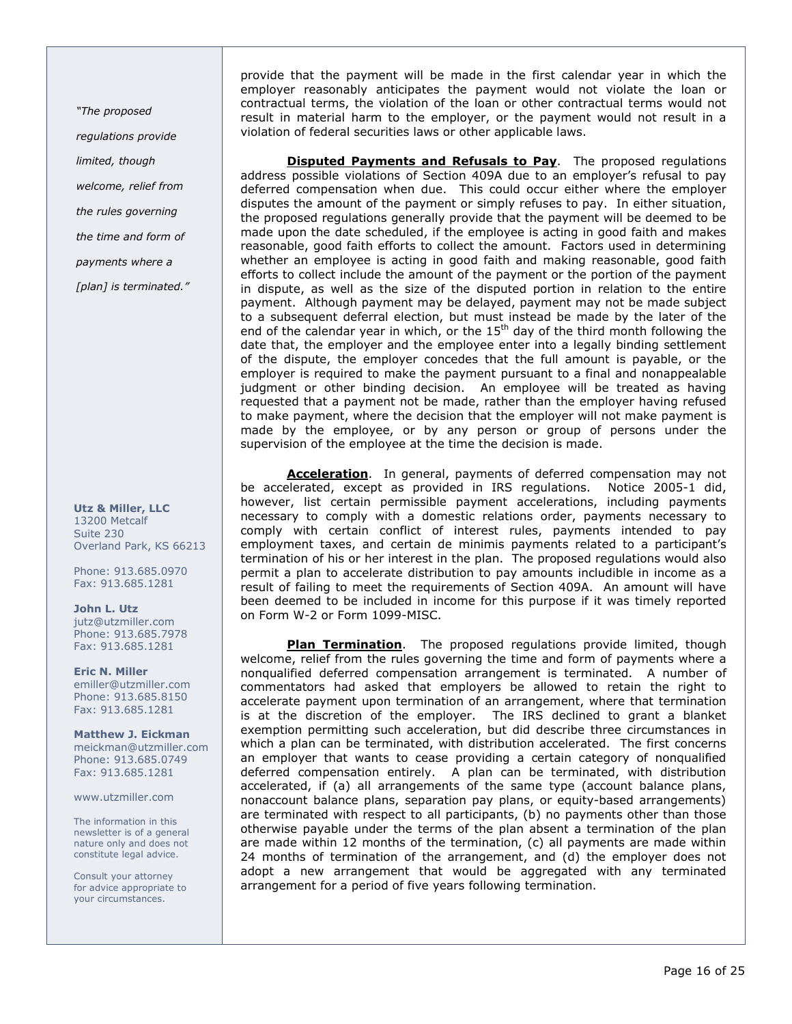"The proposed regulations provide limited, though welcome, relief from the rules governing the time and form of payments where a

[plan] is terminated."

#### Utz & Miller, LLC 13200 Metcalf Suite 230 Overland Park, KS 66213

Phone: 913.685.0970 Fax: 913.685.1281

John L. Utz jutz@utzmiller.com Phone: 913.685.7978 Fax: 913.685.1281

Eric N. Miller emiller@utzmiller.com Phone: 913.685.8150 Fax: 913.685.1281

Matthew J. Eickman meickman@utzmiller.com Phone: 913.685.0749 Fax: 913.685.1281

www.utzmiller.com

The information in this newsletter is of a general nature only and does not constitute legal advice.

Consult your attorney for advice appropriate to your circumstances.

provide that the payment will be made in the first calendar year in which the employer reasonably anticipates the payment would not violate the loan or contractual terms, the violation of the loan or other contractual terms would not result in material harm to the employer, or the payment would not result in a violation of federal securities laws or other applicable laws.

**Disputed Payments and Refusals to Pay**. The proposed regulations address possible violations of Section 409A due to an employer's refusal to pay deferred compensation when due. This could occur either where the employer disputes the amount of the payment or simply refuses to pay. In either situation, the proposed regulations generally provide that the payment will be deemed to be made upon the date scheduled, if the employee is acting in good faith and makes reasonable, good faith efforts to collect the amount. Factors used in determining whether an employee is acting in good faith and making reasonable, good faith efforts to collect include the amount of the payment or the portion of the payment in dispute, as well as the size of the disputed portion in relation to the entire payment. Although payment may be delayed, payment may not be made subject to a subsequent deferral election, but must instead be made by the later of the end of the calendar year in which, or the  $15<sup>th</sup>$  day of the third month following the date that, the employer and the employee enter into a legally binding settlement of the dispute, the employer concedes that the full amount is payable, or the employer is required to make the payment pursuant to a final and nonappealable judgment or other binding decision. An employee will be treated as having requested that a payment not be made, rather than the employer having refused to make payment, where the decision that the employer will not make payment is made by the employee, or by any person or group of persons under the supervision of the employee at the time the decision is made.

**Acceleration**. In general, payments of deferred compensation may not be accelerated, except as provided in IRS regulations. Notice 2005-1 did, however, list certain permissible payment accelerations, including payments necessary to comply with a domestic relations order, payments necessary to comply with certain conflict of interest rules, payments intended to pay employment taxes, and certain de minimis payments related to a participant's termination of his or her interest in the plan. The proposed regulations would also permit a plan to accelerate distribution to pay amounts includible in income as a result of failing to meet the requirements of Section 409A. An amount will have been deemed to be included in income for this purpose if it was timely reported on Form W-2 or Form 1099-MISC.

**Plan Termination.** The proposed regulations provide limited, though welcome, relief from the rules governing the time and form of payments where a nonqualified deferred compensation arrangement is terminated. A number of commentators had asked that employers be allowed to retain the right to accelerate payment upon termination of an arrangement, where that termination is at the discretion of the employer. The IRS declined to grant a blanket exemption permitting such acceleration, but did describe three circumstances in which a plan can be terminated, with distribution accelerated. The first concerns an employer that wants to cease providing a certain category of nonqualified deferred compensation entirely. A plan can be terminated, with distribution accelerated, if (a) all arrangements of the same type (account balance plans, nonaccount balance plans, separation pay plans, or equity-based arrangements) are terminated with respect to all participants, (b) no payments other than those otherwise payable under the terms of the plan absent a termination of the plan are made within 12 months of the termination, (c) all payments are made within 24 months of termination of the arrangement, and (d) the employer does not adopt a new arrangement that would be aggregated with any terminated arrangement for a period of five years following termination.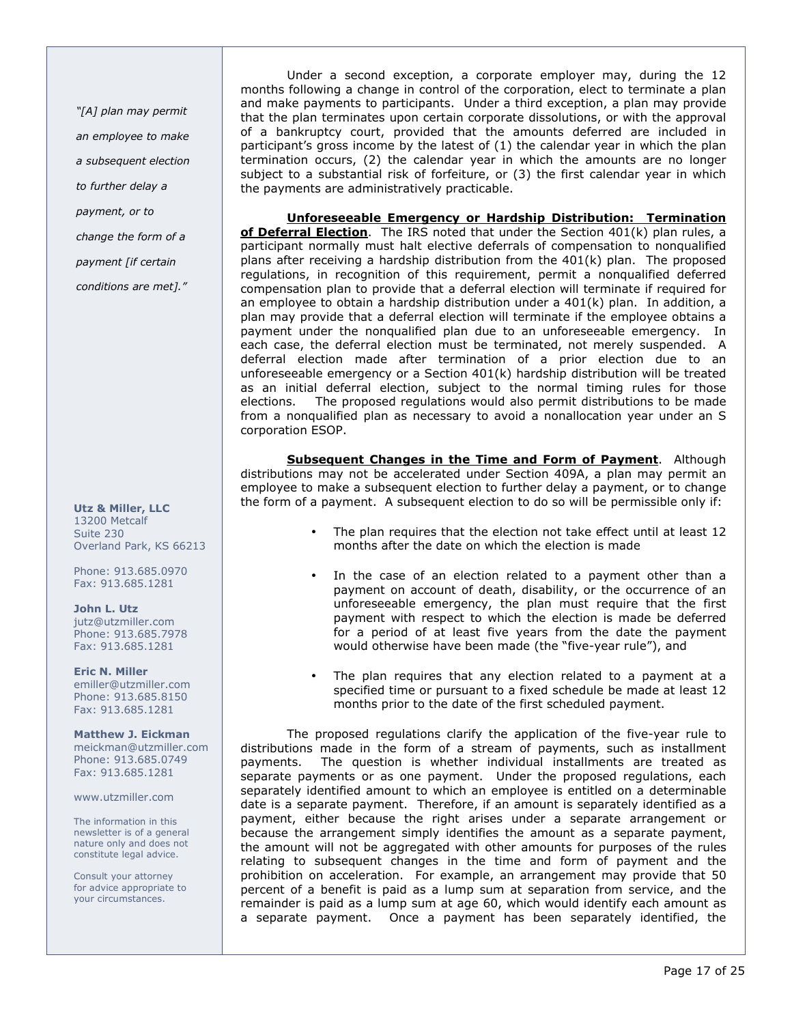"[A] plan may permit an employee to make a subsequent election to further delay a payment, or to change the form of a payment [if certain conditions are met]."

### Utz & Miller, LLC 13200 Metcalf Suite 230 Overland Park, KS 66213

Phone: 913.685.0970 Fax: 913.685.1281

## John L. Utz

jutz@utzmiller.com Phone: 913.685.7978 Fax: 913.685.1281

## Eric N. Miller

emiller@utzmiller.com Phone: 913.685.8150 Fax: 913.685.1281

## Matthew J. Eickman

meickman@utzmiller.com Phone: 913.685.0749 Fax: 913.685.1281

## www.utzmiller.com

The information in this newsletter is of a general nature only and does not constitute legal advice.

Consult your attorney for advice appropriate to your circumstances.

Under a second exception, a corporate employer may, during the 12 months following a change in control of the corporation, elect to terminate a plan and make payments to participants. Under a third exception, a plan may provide that the plan terminates upon certain corporate dissolutions, or with the approval of a bankruptcy court, provided that the amounts deferred are included in participant's gross income by the latest of (1) the calendar year in which the plan termination occurs, (2) the calendar year in which the amounts are no longer subject to a substantial risk of forfeiture, or (3) the first calendar year in which the payments are administratively practicable.

Unforeseeable Emergency or Hardship Distribution: Termination of Deferral Election. The IRS noted that under the Section  $401(k)$  plan rules, a participant normally must halt elective deferrals of compensation to nonqualified plans after receiving a hardship distribution from the 401(k) plan. The proposed regulations, in recognition of this requirement, permit a nonqualified deferred compensation plan to provide that a deferral election will terminate if required for an employee to obtain a hardship distribution under a  $401(k)$  plan. In addition, a plan may provide that a deferral election will terminate if the employee obtains a payment under the nonqualified plan due to an unforeseeable emergency. In each case, the deferral election must be terminated, not merely suspended. A deferral election made after termination of a prior election due to an unforeseeable emergency or a Section 401(k) hardship distribution will be treated as an initial deferral election, subject to the normal timing rules for those elections. The proposed regulations would also permit distributions to be made from a nonqualified plan as necessary to avoid a nonallocation year under an S corporation ESOP.

**Subsequent Changes in the Time and Form of Payment**. Although distributions may not be accelerated under Section 409A, a plan may permit an employee to make a subsequent election to further delay a payment, or to change the form of a payment. A subsequent election to do so will be permissible only if:

- The plan requires that the election not take effect until at least 12 months after the date on which the election is made
- In the case of an election related to a payment other than a payment on account of death, disability, or the occurrence of an unforeseeable emergency, the plan must require that the first payment with respect to which the election is made be deferred for a period of at least five years from the date the payment would otherwise have been made (the "five-year rule"), and
- The plan requires that any election related to a payment at a specified time or pursuant to a fixed schedule be made at least 12 months prior to the date of the first scheduled payment.

The proposed regulations clarify the application of the five-year rule to distributions made in the form of a stream of payments, such as installment payments. The question is whether individual installments are treated as separate payments or as one payment. Under the proposed regulations, each separately identified amount to which an employee is entitled on a determinable date is a separate payment. Therefore, if an amount is separately identified as a payment, either because the right arises under a separate arrangement or because the arrangement simply identifies the amount as a separate payment, the amount will not be aggregated with other amounts for purposes of the rules relating to subsequent changes in the time and form of payment and the prohibition on acceleration. For example, an arrangement may provide that 50 percent of a benefit is paid as a lump sum at separation from service, and the remainder is paid as a lump sum at age 60, which would identify each amount as a separate payment. Once a payment has been separately identified, the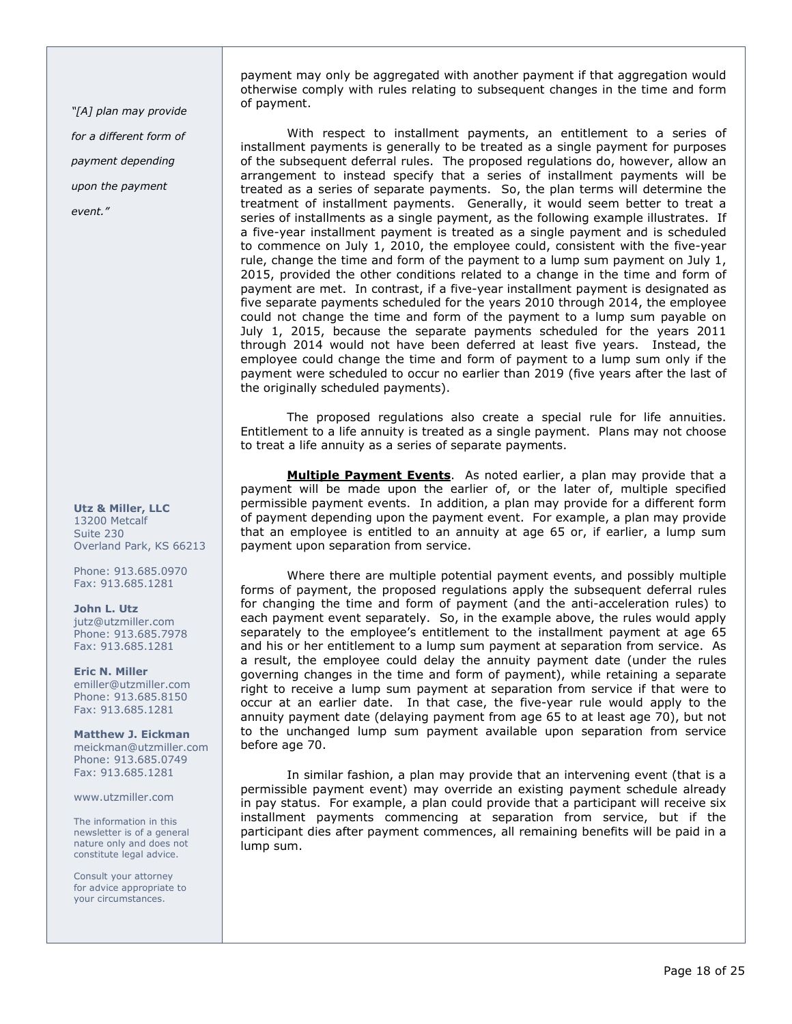"[A] plan may provide for a different form of payment depending upon the payment event."

Utz & Miller, LLC 13200 Metcalf Suite 230 Overland Park, KS 66213

Phone: 913.685.0970 Fax: 913.685.1281

John L. Utz jutz@utzmiller.com Phone: 913.685.7978 Fax: 913.685.1281

Eric N. Miller emiller@utzmiller.com Phone: 913.685.8150 Fax: 913.685.1281

Matthew J. Eickman meickman@utzmiller.com Phone: 913.685.0749 Fax: 913.685.1281

www.utzmiller.com

The information in this newsletter is of a general nature only and does not constitute legal advice.

Consult your attorney for advice appropriate to your circumstances.

payment may only be aggregated with another payment if that aggregation would otherwise comply with rules relating to subsequent changes in the time and form of payment.

With respect to installment payments, an entitlement to a series of installment payments is generally to be treated as a single payment for purposes of the subsequent deferral rules. The proposed regulations do, however, allow an arrangement to instead specify that a series of installment payments will be treated as a series of separate payments. So, the plan terms will determine the treatment of installment payments. Generally, it would seem better to treat a series of installments as a single payment, as the following example illustrates. If a five-year installment payment is treated as a single payment and is scheduled to commence on July 1, 2010, the employee could, consistent with the five-year rule, change the time and form of the payment to a lump sum payment on July 1, 2015, provided the other conditions related to a change in the time and form of payment are met. In contrast, if a five-year installment payment is designated as five separate payments scheduled for the years 2010 through 2014, the employee could not change the time and form of the payment to a lump sum payable on July 1, 2015, because the separate payments scheduled for the years 2011 through 2014 would not have been deferred at least five years. Instead, the employee could change the time and form of payment to a lump sum only if the payment were scheduled to occur no earlier than 2019 (five years after the last of the originally scheduled payments).

The proposed regulations also create a special rule for life annuities. Entitlement to a life annuity is treated as a single payment. Plans may not choose to treat a life annuity as a series of separate payments.

Multiple Payment Events. As noted earlier, a plan may provide that a payment will be made upon the earlier of, or the later of, multiple specified permissible payment events. In addition, a plan may provide for a different form of payment depending upon the payment event. For example, a plan may provide that an employee is entitled to an annuity at age 65 or, if earlier, a lump sum payment upon separation from service.

Where there are multiple potential payment events, and possibly multiple forms of payment, the proposed regulations apply the subsequent deferral rules for changing the time and form of payment (and the anti-acceleration rules) to each payment event separately. So, in the example above, the rules would apply separately to the employee's entitlement to the installment payment at age 65 and his or her entitlement to a lump sum payment at separation from service. As a result, the employee could delay the annuity payment date (under the rules governing changes in the time and form of payment), while retaining a separate right to receive a lump sum payment at separation from service if that were to occur at an earlier date. In that case, the five-year rule would apply to the annuity payment date (delaying payment from age 65 to at least age 70), but not to the unchanged lump sum payment available upon separation from service before age 70.

In similar fashion, a plan may provide that an intervening event (that is a permissible payment event) may override an existing payment schedule already in pay status. For example, a plan could provide that a participant will receive six installment payments commencing at separation from service, but if the participant dies after payment commences, all remaining benefits will be paid in a lump sum.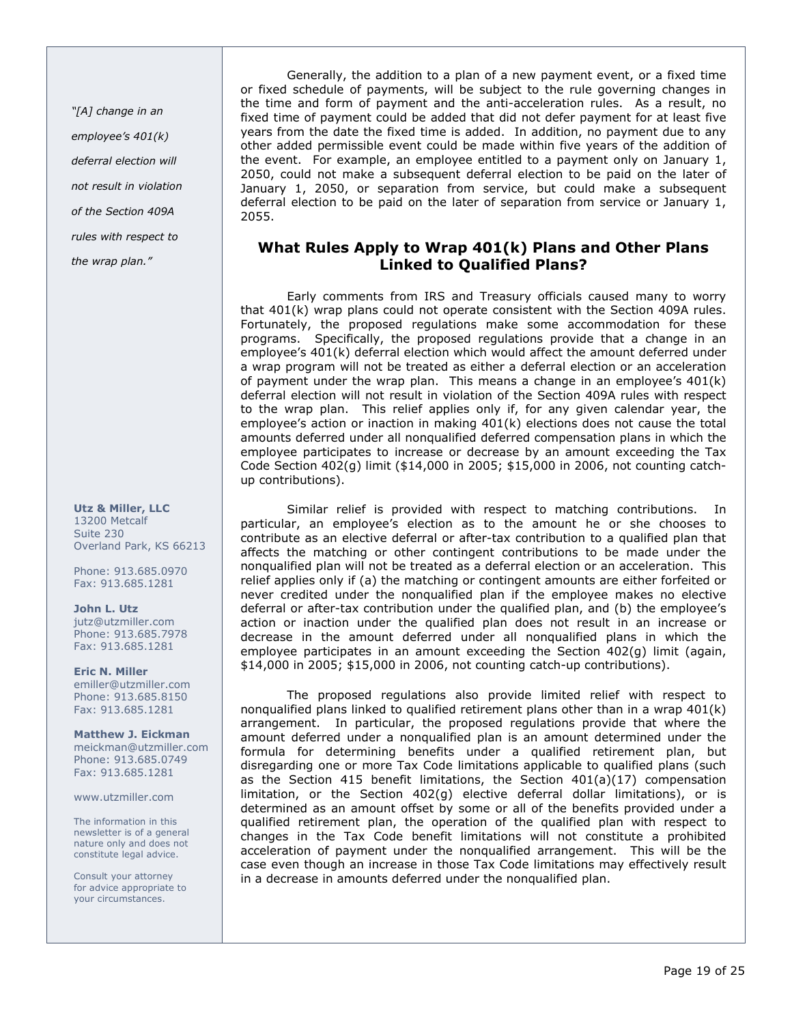"[A] change in an employee's 401(k) deferral election will not result in violation of the Section 409A rules with respect to

the wrap plan."

#### Utz & Miller, LLC 13200 Metcalf Suite 230 Overland Park, KS 66213

Phone: 913.685.0970 Fax: 913.685.1281

John L. Utz jutz@utzmiller.com Phone: 913.685.7978 Fax: 913.685.1281

Eric N. Miller emiller@utzmiller.com Phone: 913.685.8150 Fax: 913.685.1281

Matthew J. Eickman meickman@utzmiller.com Phone: 913.685.0749 Fax: 913.685.1281

www.utzmiller.com

The information in this newsletter is of a general nature only and does not constitute legal advice.

Consult your attorney for advice appropriate to your circumstances.

Generally, the addition to a plan of a new payment event, or a fixed time or fixed schedule of payments, will be subject to the rule governing changes in the time and form of payment and the anti-acceleration rules. As a result, no fixed time of payment could be added that did not defer payment for at least five years from the date the fixed time is added. In addition, no payment due to any other added permissible event could be made within five years of the addition of the event. For example, an employee entitled to a payment only on January 1, 2050, could not make a subsequent deferral election to be paid on the later of January 1, 2050, or separation from service, but could make a subsequent deferral election to be paid on the later of separation from service or January 1, 2055.

# What Rules Apply to Wrap 401(k) Plans and Other Plans Linked to Qualified Plans?

Early comments from IRS and Treasury officials caused many to worry that 401(k) wrap plans could not operate consistent with the Section 409A rules. Fortunately, the proposed regulations make some accommodation for these programs. Specifically, the proposed regulations provide that a change in an employee's 401(k) deferral election which would affect the amount deferred under a wrap program will not be treated as either a deferral election or an acceleration of payment under the wrap plan. This means a change in an employee's 401(k) deferral election will not result in violation of the Section 409A rules with respect to the wrap plan. This relief applies only if, for any given calendar year, the employee's action or inaction in making 401(k) elections does not cause the total amounts deferred under all nonqualified deferred compensation plans in which the employee participates to increase or decrease by an amount exceeding the Tax Code Section 402(g) limit (\$14,000 in 2005; \$15,000 in 2006, not counting catchup contributions).

Similar relief is provided with respect to matching contributions. In particular, an employee's election as to the amount he or she chooses to contribute as an elective deferral or after-tax contribution to a qualified plan that affects the matching or other contingent contributions to be made under the nonqualified plan will not be treated as a deferral election or an acceleration. This relief applies only if (a) the matching or contingent amounts are either forfeited or never credited under the nonqualified plan if the employee makes no elective deferral or after-tax contribution under the qualified plan, and (b) the employee's action or inaction under the qualified plan does not result in an increase or decrease in the amount deferred under all nonqualified plans in which the employee participates in an amount exceeding the Section 402(g) limit (again, \$14,000 in 2005; \$15,000 in 2006, not counting catch-up contributions).

The proposed regulations also provide limited relief with respect to nonqualified plans linked to qualified retirement plans other than in a wrap 401(k) arrangement. In particular, the proposed regulations provide that where the amount deferred under a nonqualified plan is an amount determined under the formula for determining benefits under a qualified retirement plan, but disregarding one or more Tax Code limitations applicable to qualified plans (such as the Section 415 benefit limitations, the Section 401(a)(17) compensation limitation, or the Section 402(g) elective deferral dollar limitations), or is determined as an amount offset by some or all of the benefits provided under a qualified retirement plan, the operation of the qualified plan with respect to changes in the Tax Code benefit limitations will not constitute a prohibited acceleration of payment under the nonqualified arrangement. This will be the case even though an increase in those Tax Code limitations may effectively result in a decrease in amounts deferred under the nonqualified plan.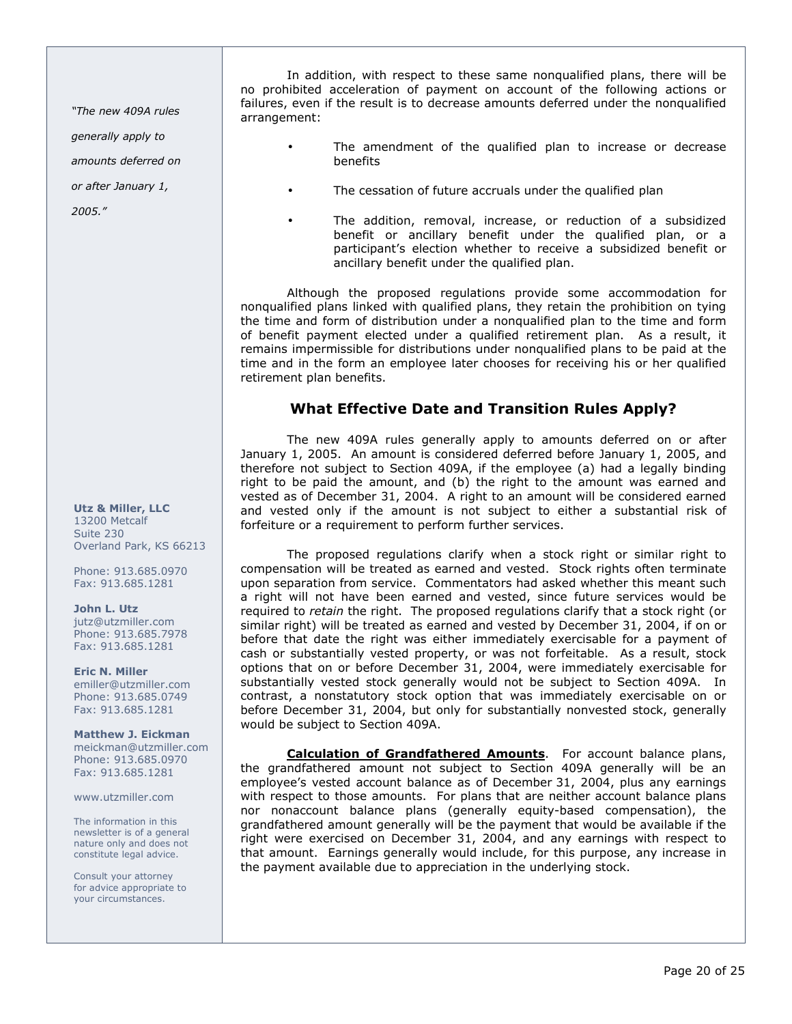"The new 409A rules

generally apply to

amounts deferred on

or after January 1,

2005."

Utz & Miller, LLC 13200 Metcalf Suite 230 Overland Park, KS 66213

Phone: 913.685.0970 Fax: 913.685.1281

John L. Utz jutz@utzmiller.com Phone: 913.685.7978 Fax: 913.685.1281

Eric N. Miller emiller@utzmiller.com Phone: 913.685.0749 Fax: 913.685.1281

Matthew J. Eickman meickman@utzmiller.com Phone: 913.685.0970 Fax: 913.685.1281

www.utzmiller.com

The information in this newsletter is of a general nature only and does not constitute legal advice.

Consult your attorney for advice appropriate to your circumstances.

In addition, with respect to these same nonqualified plans, there will be no prohibited acceleration of payment on account of the following actions or failures, even if the result is to decrease amounts deferred under the nonqualified arrangement:

- The amendment of the qualified plan to increase or decrease benefits
- The cessation of future accruals under the qualified plan
- The addition, removal, increase, or reduction of a subsidized benefit or ancillary benefit under the qualified plan, or a participant's election whether to receive a subsidized benefit or ancillary benefit under the qualified plan.

Although the proposed regulations provide some accommodation for nonqualified plans linked with qualified plans, they retain the prohibition on tying the time and form of distribution under a nonqualified plan to the time and form of benefit payment elected under a qualified retirement plan. As a result, it remains impermissible for distributions under nonqualified plans to be paid at the time and in the form an employee later chooses for receiving his or her qualified retirement plan benefits.

# What Effective Date and Transition Rules Apply?

The new 409A rules generally apply to amounts deferred on or after January 1, 2005. An amount is considered deferred before January 1, 2005, and therefore not subject to Section 409A, if the employee (a) had a legally binding right to be paid the amount, and (b) the right to the amount was earned and vested as of December 31, 2004. A right to an amount will be considered earned and vested only if the amount is not subject to either a substantial risk of forfeiture or a requirement to perform further services.

The proposed regulations clarify when a stock right or similar right to compensation will be treated as earned and vested. Stock rights often terminate upon separation from service. Commentators had asked whether this meant such a right will not have been earned and vested, since future services would be required to retain the right. The proposed regulations clarify that a stock right (or similar right) will be treated as earned and vested by December 31, 2004, if on or before that date the right was either immediately exercisable for a payment of cash or substantially vested property, or was not forfeitable. As a result, stock options that on or before December 31, 2004, were immediately exercisable for substantially vested stock generally would not be subject to Section 409A. In contrast, a nonstatutory stock option that was immediately exercisable on or before December 31, 2004, but only for substantially nonvested stock, generally would be subject to Section 409A.

Calculation of Grandfathered Amounts. For account balance plans, the grandfathered amount not subject to Section 409A generally will be an employee's vested account balance as of December 31, 2004, plus any earnings with respect to those amounts. For plans that are neither account balance plans nor nonaccount balance plans (generally equity-based compensation), the grandfathered amount generally will be the payment that would be available if the right were exercised on December 31, 2004, and any earnings with respect to that amount. Earnings generally would include, for this purpose, any increase in the payment available due to appreciation in the underlying stock.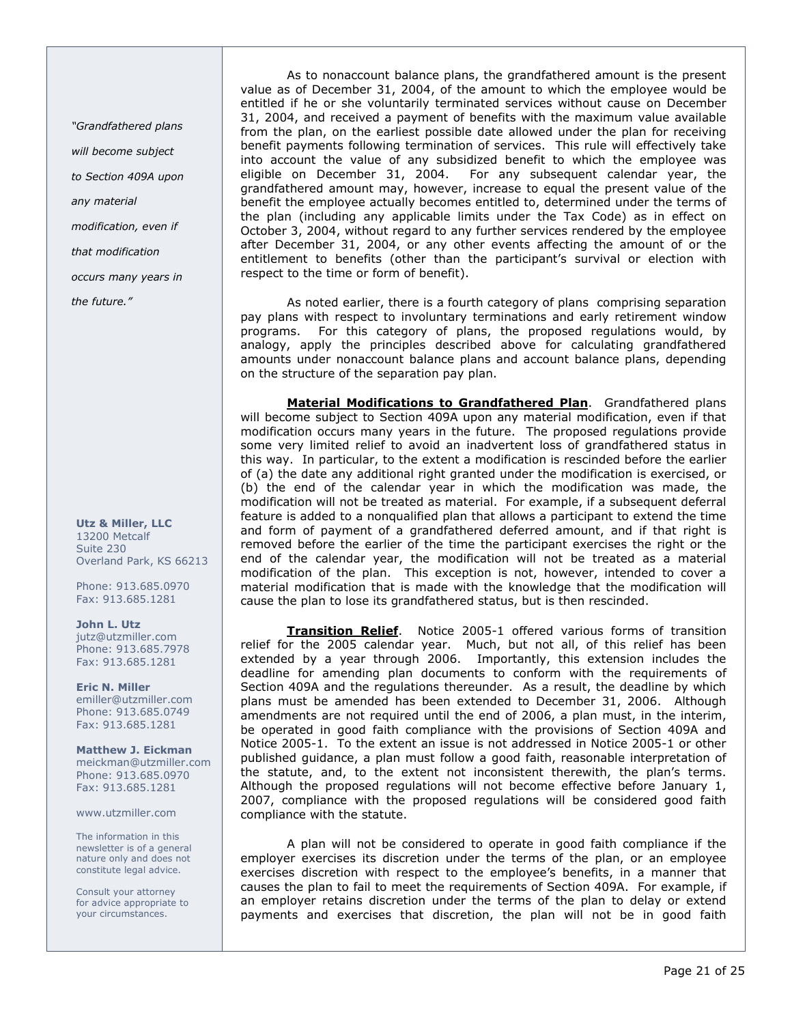"Grandfathered plans

will become subject

to Section 409A upon

- any material
- modification, even if

that modification

occurs many years in

the future."

Utz & Miller, LLC 13200 Metcalf Suite 230 Overland Park, KS 66213

Phone: 913.685.0970 Fax: 913.685.1281

John L. Utz jutz@utzmiller.com Phone: 913.685.7978 Fax: 913.685.1281

Eric N. Miller emiller@utzmiller.com Phone: 913.685.0749 Fax: 913.685.1281

Matthew J. Eickman meickman@utzmiller.com Phone: 913.685.0970 Fax: 913.685.1281

www.utzmiller.com

The information in this newsletter is of a general nature only and does not constitute legal advice.

Consult your attorney for advice appropriate to your circumstances.

As to nonaccount balance plans, the grandfathered amount is the present value as of December 31, 2004, of the amount to which the employee would be entitled if he or she voluntarily terminated services without cause on December 31, 2004, and received a payment of benefits with the maximum value available from the plan, on the earliest possible date allowed under the plan for receiving benefit payments following termination of services. This rule will effectively take into account the value of any subsidized benefit to which the employee was eligible on December 31, 2004. For any subsequent calendar year, the grandfathered amount may, however, increase to equal the present value of the benefit the employee actually becomes entitled to, determined under the terms of the plan (including any applicable limits under the Tax Code) as in effect on October 3, 2004, without regard to any further services rendered by the employee after December 31, 2004, or any other events affecting the amount of or the entitlement to benefits (other than the participant's survival or election with respect to the time or form of benefit).

As noted earlier, there is a fourth category of plans comprising separation pay plans with respect to involuntary terminations and early retirement window programs. For this category of plans, the proposed regulations would, by analogy, apply the principles described above for calculating grandfathered amounts under nonaccount balance plans and account balance plans, depending on the structure of the separation pay plan.

Material Modifications to Grandfathered Plan. Grandfathered plans will become subject to Section 409A upon any material modification, even if that modification occurs many years in the future. The proposed regulations provide some very limited relief to avoid an inadvertent loss of grandfathered status in this way. In particular, to the extent a modification is rescinded before the earlier of (a) the date any additional right granted under the modification is exercised, or (b) the end of the calendar year in which the modification was made, the modification will not be treated as material. For example, if a subsequent deferral feature is added to a nonqualified plan that allows a participant to extend the time and form of payment of a grandfathered deferred amount, and if that right is removed before the earlier of the time the participant exercises the right or the end of the calendar year, the modification will not be treated as a material modification of the plan. This exception is not, however, intended to cover a material modification that is made with the knowledge that the modification will cause the plan to lose its grandfathered status, but is then rescinded.

**Transition Relief.** Notice 2005-1 offered various forms of transition relief for the 2005 calendar year. Much, but not all, of this relief has been extended by a year through 2006. Importantly, this extension includes the deadline for amending plan documents to conform with the requirements of Section 409A and the regulations thereunder. As a result, the deadline by which plans must be amended has been extended to December 31, 2006. Although amendments are not required until the end of 2006, a plan must, in the interim, be operated in good faith compliance with the provisions of Section 409A and Notice 2005-1. To the extent an issue is not addressed in Notice 2005-1 or other published guidance, a plan must follow a good faith, reasonable interpretation of the statute, and, to the extent not inconsistent therewith, the plan's terms. Although the proposed regulations will not become effective before January 1, 2007, compliance with the proposed regulations will be considered good faith compliance with the statute.

A plan will not be considered to operate in good faith compliance if the employer exercises its discretion under the terms of the plan, or an employee exercises discretion with respect to the employee's benefits, in a manner that causes the plan to fail to meet the requirements of Section 409A. For example, if an employer retains discretion under the terms of the plan to delay or extend payments and exercises that discretion, the plan will not be in good faith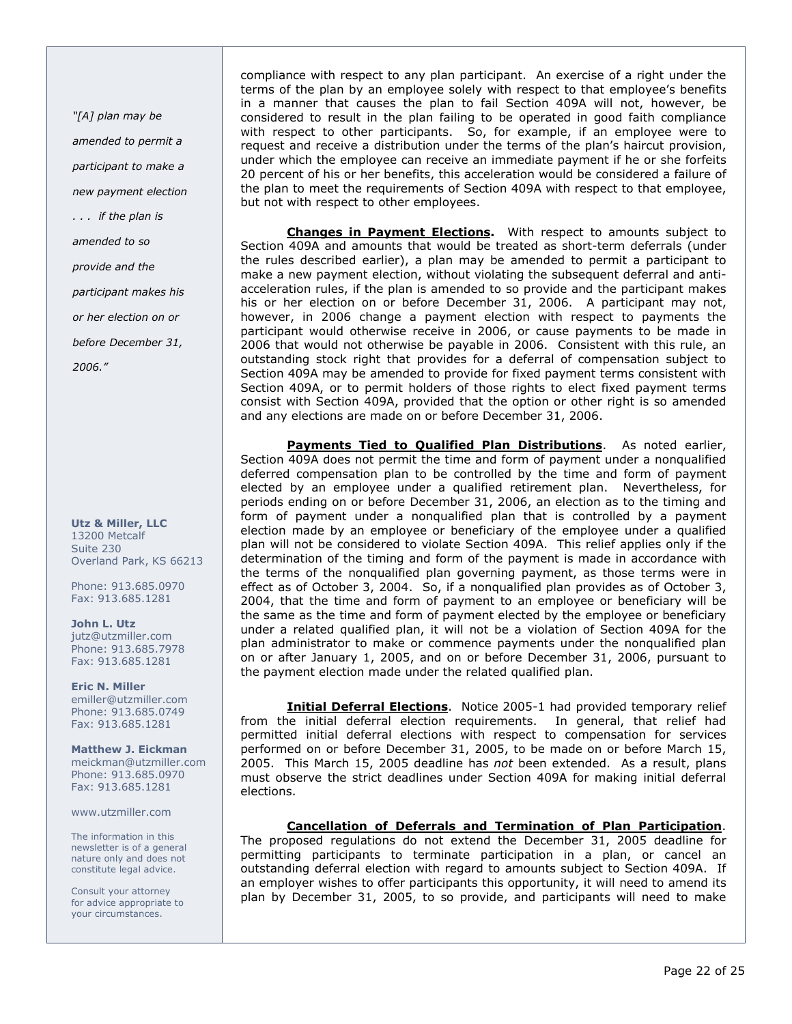"[A] plan may be amended to permit a participant to make a new payment election . . . if the plan is amended to so provide and the participant makes his or her election on or before December 31, 2006."

Utz & Miller, LLC 13200 Metcalf Suite 230 Overland Park, KS 66213

Phone: 913.685.0970 Fax: 913.685.1281

John L. Utz jutz@utzmiller.com Phone: 913.685.7978 Fax: 913.685.1281

Eric N. Miller emiller@utzmiller.com Phone: 913.685.0749 Fax: 913.685.1281

Matthew J. Eickman meickman@utzmiller.com Phone: 913.685.0970 Fax: 913.685.1281

www.utzmiller.com

The information in this newsletter is of a general nature only and does not constitute legal advice.

Consult your attorney for advice appropriate to your circumstances.

compliance with respect to any plan participant. An exercise of a right under the terms of the plan by an employee solely with respect to that employee's benefits in a manner that causes the plan to fail Section 409A will not, however, be considered to result in the plan failing to be operated in good faith compliance with respect to other participants. So, for example, if an employee were to request and receive a distribution under the terms of the plan's haircut provision, under which the employee can receive an immediate payment if he or she forfeits 20 percent of his or her benefits, this acceleration would be considered a failure of the plan to meet the requirements of Section 409A with respect to that employee, but not with respect to other employees.

**Changes in Payment Elections.** With respect to amounts subject to Section 409A and amounts that would be treated as short-term deferrals (under the rules described earlier), a plan may be amended to permit a participant to make a new payment election, without violating the subsequent deferral and antiacceleration rules, if the plan is amended to so provide and the participant makes his or her election on or before December 31, 2006. A participant may not, however, in 2006 change a payment election with respect to payments the participant would otherwise receive in 2006, or cause payments to be made in 2006 that would not otherwise be payable in 2006. Consistent with this rule, an outstanding stock right that provides for a deferral of compensation subject to Section 409A may be amended to provide for fixed payment terms consistent with Section 409A, or to permit holders of those rights to elect fixed payment terms consist with Section 409A, provided that the option or other right is so amended and any elections are made on or before December 31, 2006.

Payments Tied to Qualified Plan Distributions. As noted earlier, Section 409A does not permit the time and form of payment under a nonqualified deferred compensation plan to be controlled by the time and form of payment elected by an employee under a qualified retirement plan. Nevertheless, for periods ending on or before December 31, 2006, an election as to the timing and form of payment under a nonqualified plan that is controlled by a payment election made by an employee or beneficiary of the employee under a qualified plan will not be considered to violate Section 409A. This relief applies only if the determination of the timing and form of the payment is made in accordance with the terms of the nonqualified plan governing payment, as those terms were in effect as of October 3, 2004. So, if a nonqualified plan provides as of October 3, 2004, that the time and form of payment to an employee or beneficiary will be the same as the time and form of payment elected by the employee or beneficiary under a related qualified plan, it will not be a violation of Section 409A for the plan administrator to make or commence payments under the nonqualified plan on or after January 1, 2005, and on or before December 31, 2006, pursuant to the payment election made under the related qualified plan.

Initial Deferral Elections. Notice 2005-1 had provided temporary relief from the initial deferral election requirements. In general, that relief had permitted initial deferral elections with respect to compensation for services performed on or before December 31, 2005, to be made on or before March 15, 2005. This March 15, 2005 deadline has not been extended. As a result, plans must observe the strict deadlines under Section 409A for making initial deferral elections.

## Cancellation of Deferrals and Termination of Plan Participation.

The proposed regulations do not extend the December 31, 2005 deadline for permitting participants to terminate participation in a plan, or cancel an outstanding deferral election with regard to amounts subject to Section 409A. If an employer wishes to offer participants this opportunity, it will need to amend its plan by December 31, 2005, to so provide, and participants will need to make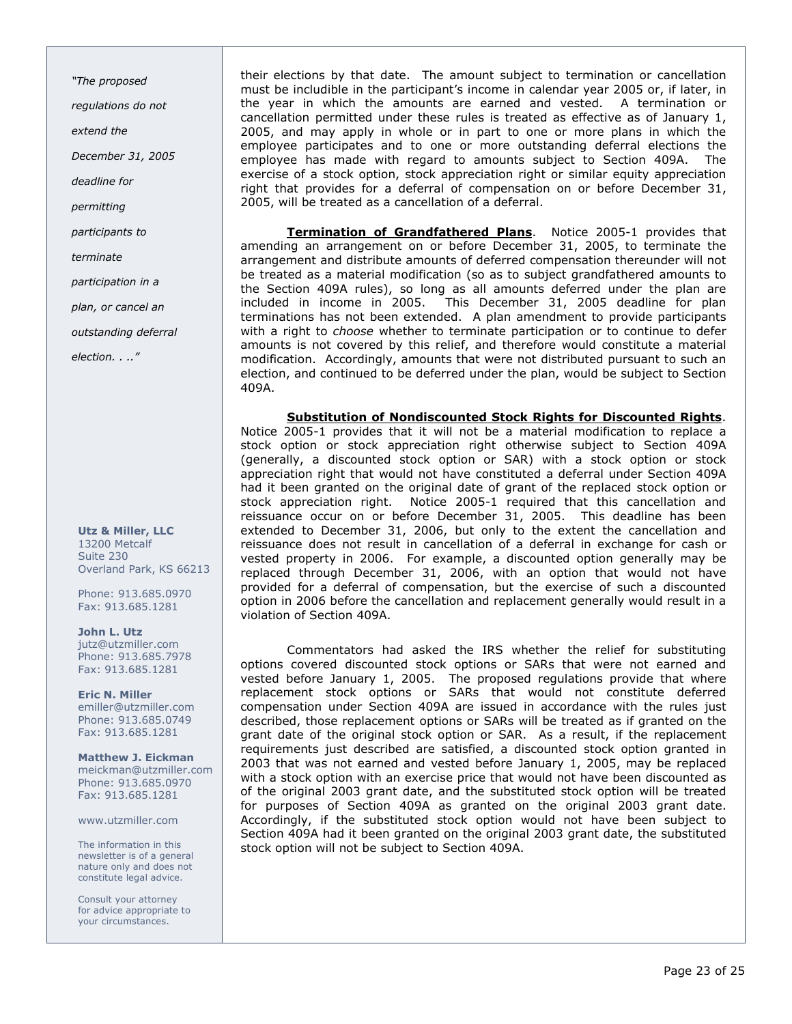"The proposed

regulations do not

extend the

December 31, 2005

deadline for

permitting

participants to

terminate

participation in a

plan, or cancel an

outstanding deferral

election. . .."

Utz & Miller, LLC 13200 Metcalf Suite 230 Overland Park, KS 66213

Phone: 913.685.0970 Fax: 913.685.1281

John L. Utz jutz@utzmiller.com Phone: 913.685.7978 Fax: 913.685.1281

Eric N. Miller emiller@utzmiller.com Phone: 913.685.0749 Fax: 913.685.1281

Matthew J. Eickman meickman@utzmiller.com Phone: 913.685.0970 Fax: 913.685.1281

www.utzmiller.com

The information in this newsletter is of a general nature only and does not constitute legal advice.

Consult your attorney for advice appropriate to your circumstances.

their elections by that date. The amount subject to termination or cancellation must be includible in the participant's income in calendar year 2005 or, if later, in the year in which the amounts are earned and vested. A termination or cancellation permitted under these rules is treated as effective as of January 1, 2005, and may apply in whole or in part to one or more plans in which the employee participates and to one or more outstanding deferral elections the employee has made with regard to amounts subject to Section 409A. The exercise of a stock option, stock appreciation right or similar equity appreciation right that provides for a deferral of compensation on or before December 31, 2005, will be treated as a cancellation of a deferral.

Termination of Grandfathered Plans. Notice 2005-1 provides that amending an arrangement on or before December 31, 2005, to terminate the arrangement and distribute amounts of deferred compensation thereunder will not be treated as a material modification (so as to subject grandfathered amounts to the Section 409A rules), so long as all amounts deferred under the plan are included in income in 2005. This December 31, 2005 deadline for plan terminations has not been extended. A plan amendment to provide participants with a right to *choose* whether to terminate participation or to continue to defer amounts is not covered by this relief, and therefore would constitute a material modification. Accordingly, amounts that were not distributed pursuant to such an election, and continued to be deferred under the plan, would be subject to Section 409A.

Substitution of Nondiscounted Stock Rights for Discounted Rights. Notice 2005-1 provides that it will not be a material modification to replace a stock option or stock appreciation right otherwise subject to Section 409A (generally, a discounted stock option or SAR) with a stock option or stock appreciation right that would not have constituted a deferral under Section 409A had it been granted on the original date of grant of the replaced stock option or stock appreciation right. Notice 2005-1 required that this cancellation and reissuance occur on or before December 31, 2005. This deadline has been extended to December 31, 2006, but only to the extent the cancellation and reissuance does not result in cancellation of a deferral in exchange for cash or vested property in 2006. For example, a discounted option generally may be replaced through December 31, 2006, with an option that would not have provided for a deferral of compensation, but the exercise of such a discounted option in 2006 before the cancellation and replacement generally would result in a violation of Section 409A.

Commentators had asked the IRS whether the relief for substituting options covered discounted stock options or SARs that were not earned and vested before January 1, 2005. The proposed regulations provide that where replacement stock options or SARs that would not constitute deferred compensation under Section 409A are issued in accordance with the rules just described, those replacement options or SARs will be treated as if granted on the grant date of the original stock option or SAR. As a result, if the replacement requirements just described are satisfied, a discounted stock option granted in 2003 that was not earned and vested before January 1, 2005, may be replaced with a stock option with an exercise price that would not have been discounted as of the original 2003 grant date, and the substituted stock option will be treated for purposes of Section 409A as granted on the original 2003 grant date. Accordingly, if the substituted stock option would not have been subject to Section 409A had it been granted on the original 2003 grant date, the substituted stock option will not be subject to Section 409A.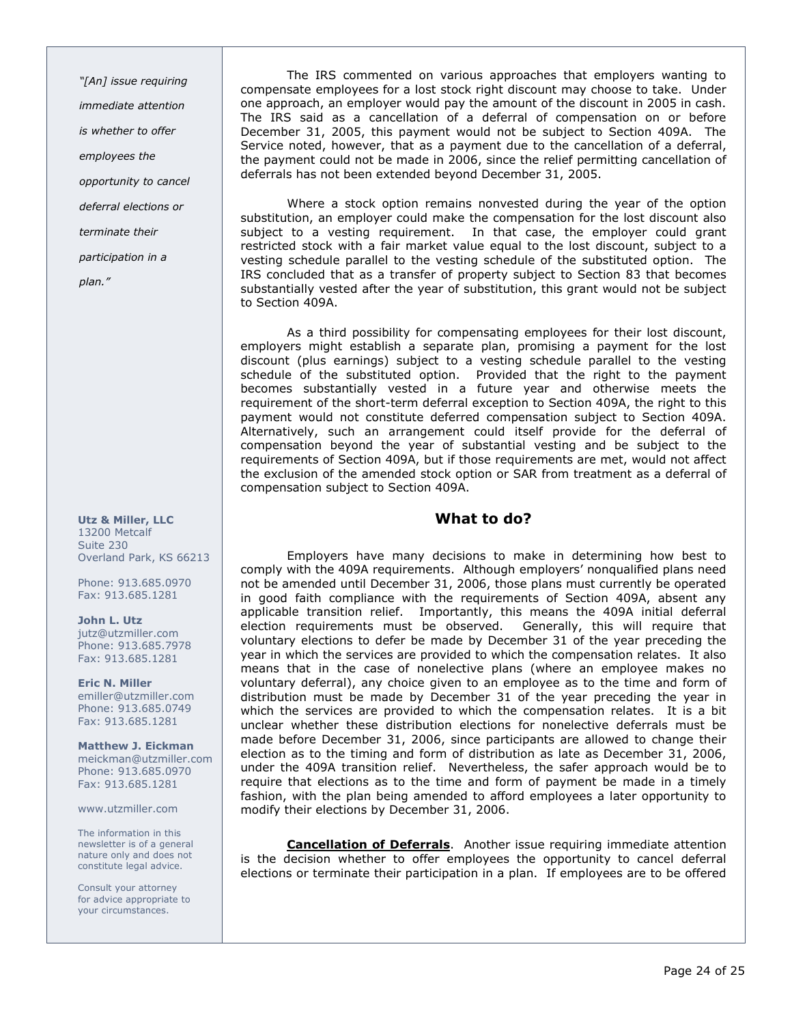"[An] issue requiring immediate attention is whether to offer employees the opportunity to cancel deferral elections or terminate their participation in a plan."

Utz & Miller, LLC 13200 Metcalf Suite 230 Overland Park, KS 66213

Phone: 913.685.0970 Fax: 913.685.1281

John L. Utz jutz@utzmiller.com Phone: 913.685.7978 Fax: 913.685.1281

Eric N. Miller emiller@utzmiller.com Phone: 913.685.0749 Fax: 913.685.1281

Matthew J. Eickman meickman@utzmiller.com Phone: 913.685.0970 Fax: 913.685.1281

www.utzmiller.com

The information in this newsletter is of a general nature only and does not constitute legal advice.

Consult your attorney for advice appropriate to your circumstances.

The IRS commented on various approaches that employers wanting to compensate employees for a lost stock right discount may choose to take. Under one approach, an employer would pay the amount of the discount in 2005 in cash. The IRS said as a cancellation of a deferral of compensation on or before December 31, 2005, this payment would not be subject to Section 409A. The Service noted, however, that as a payment due to the cancellation of a deferral, the payment could not be made in 2006, since the relief permitting cancellation of deferrals has not been extended beyond December 31, 2005.

Where a stock option remains nonvested during the year of the option substitution, an employer could make the compensation for the lost discount also subject to a vesting requirement. In that case, the employer could grant restricted stock with a fair market value equal to the lost discount, subject to a vesting schedule parallel to the vesting schedule of the substituted option. The IRS concluded that as a transfer of property subject to Section 83 that becomes substantially vested after the year of substitution, this grant would not be subject to Section 409A.

As a third possibility for compensating employees for their lost discount, employers might establish a separate plan, promising a payment for the lost discount (plus earnings) subject to a vesting schedule parallel to the vesting schedule of the substituted option. Provided that the right to the payment becomes substantially vested in a future year and otherwise meets the requirement of the short-term deferral exception to Section 409A, the right to this payment would not constitute deferred compensation subject to Section 409A. Alternatively, such an arrangement could itself provide for the deferral of compensation beyond the year of substantial vesting and be subject to the requirements of Section 409A, but if those requirements are met, would not affect the exclusion of the amended stock option or SAR from treatment as a deferral of compensation subject to Section 409A.

# What to do?

Employers have many decisions to make in determining how best to comply with the 409A requirements. Although employers' nonqualified plans need not be amended until December 31, 2006, those plans must currently be operated in good faith compliance with the requirements of Section 409A, absent any applicable transition relief. Importantly, this means the 409A initial deferral election requirements must be observed. Generally, this will require that voluntary elections to defer be made by December 31 of the year preceding the year in which the services are provided to which the compensation relates. It also means that in the case of nonelective plans (where an employee makes no voluntary deferral), any choice given to an employee as to the time and form of distribution must be made by December 31 of the year preceding the year in which the services are provided to which the compensation relates. It is a bit unclear whether these distribution elections for nonelective deferrals must be made before December 31, 2006, since participants are allowed to change their election as to the timing and form of distribution as late as December 31, 2006, under the 409A transition relief. Nevertheless, the safer approach would be to require that elections as to the time and form of payment be made in a timely fashion, with the plan being amended to afford employees a later opportunity to modify their elections by December 31, 2006.

Cancellation of Deferrals. Another issue requiring immediate attention is the decision whether to offer employees the opportunity to cancel deferral elections or terminate their participation in a plan. If employees are to be offered